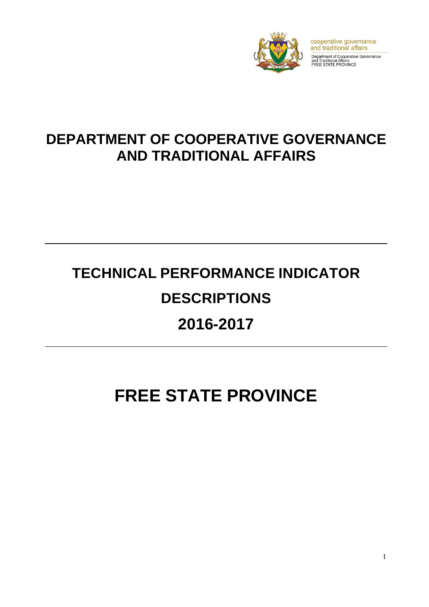

cooperative governance and traditional affairs Department of Cooperative Governance<br>and Traditional Affairs<br>FREE STATE PROVINCE

# **DEPARTMENT OF COOPERATIVE GOVERNANCE AND TRADITIONAL AFFAIRS**

# **TECHNICAL PERFORMANCE INDICATOR DESCRIPTIONS 2016-2017**

# **FREE STATE PROVINCE**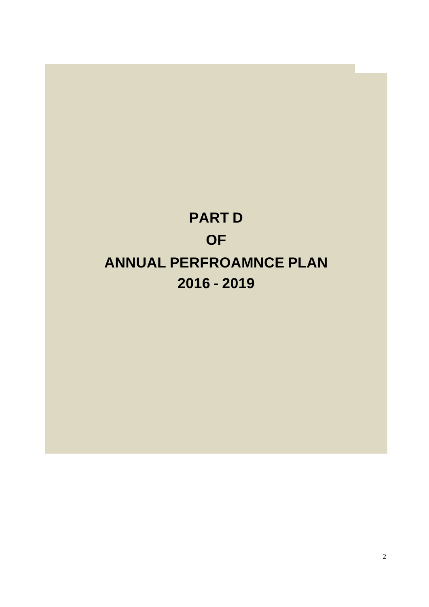# **PART D OF ANNUAL PERFROAMNCE PLAN 2016 - 2019**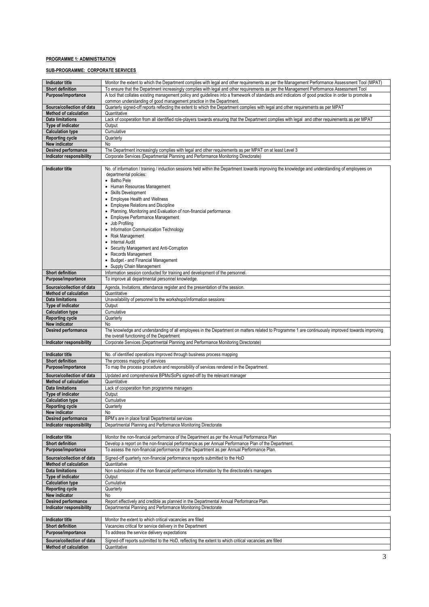## **PROGRAMME 1: ADMINISTRATION**

# **SUB-PROGRAMME: CORPORATE SERVICES**

| <b>Indicator title</b>                                  | Monitor the extent to which the Department complies with legal and other requirements as per the Management Performance Assessment Tool (MPAT)                   |
|---------------------------------------------------------|------------------------------------------------------------------------------------------------------------------------------------------------------------------|
| <b>Short definition</b>                                 | To ensure that the Department increasingly complies with legal and other requirements as per the Management Performance Assessment Tool                          |
| Purpose/importance                                      | A tool that collates existing management policy and guidelines into a framework of standards and indicators of good practice in order to promote a               |
|                                                         | common understanding of good management practice in the Department.                                                                                              |
| Source/collection of data                               | Quarterly signed-off reports reflecting the extent to which the Department complies with legal and other requirements as per MPAT                                |
| <b>Method of calculation</b><br><b>Data limitations</b> | Quantitative<br>Lack of cooperation from all identified role-players towards ensuring that the Department complies with legal and other requirements as per MPAT |
| Type of indicator                                       | Output                                                                                                                                                           |
| <b>Calculation type</b>                                 | Cumulative                                                                                                                                                       |
| <b>Reporting cycle</b>                                  | Quarterly                                                                                                                                                        |
| New indicator                                           | No                                                                                                                                                               |
| Desired performance                                     | The Department increasingly complies with legal and other requirements as per MPAT on at least Level 3                                                           |
| Indicator responsibility                                | Corporate Services (Departmental Planning and Performance Monitoring Directorate)                                                                                |
| <b>Indicator title</b>                                  | No. of information / training / induction sessions held within the Department towards improving the knowledge and understanding of employees on                  |
|                                                         | departmental policies:                                                                                                                                           |
|                                                         | • Batho Pele                                                                                                                                                     |
|                                                         | • Human Resources Management                                                                                                                                     |
|                                                         | • Skills Development                                                                                                                                             |
|                                                         | • Employee Health and Wellness                                                                                                                                   |
|                                                         | • Employee Relations and Discipline<br>• Planning, Monitoring and Evaluation of non-financial performance                                                        |
|                                                         | • Employee Performance Management                                                                                                                                |
|                                                         | • Job Profiling                                                                                                                                                  |
|                                                         | • Information Communication Technology                                                                                                                           |
|                                                         | Risk Management                                                                                                                                                  |
|                                                         | • Internal Audit                                                                                                                                                 |
|                                                         | • Security Management and Anti-Corruption<br>• Records Management                                                                                                |
|                                                         | • Budget - and Financial Management                                                                                                                              |
|                                                         | • Supply Chain Management                                                                                                                                        |
| <b>Short definition</b>                                 | Information session conducted for training and development of the personnel                                                                                      |
| Purpose/importance                                      | To improve all departmental personnel knowledge.                                                                                                                 |
| Source/collection of data                               | Agenda, Invitations, attendance register and the presentation of the session.                                                                                    |
| <b>Method of calculation</b>                            | Quantitative                                                                                                                                                     |
| <b>Data limitations</b>                                 | Unavailability of personnel to the workshops/information sessions                                                                                                |
| Type of indicator                                       | Output                                                                                                                                                           |
| <b>Calculation type</b><br><b>Reporting cycle</b>       | Cumulative<br>Quarterly                                                                                                                                          |
| New indicator                                           | No                                                                                                                                                               |
| <b>Desired performance</b>                              | The knowledge and understanding of all employees in the Department on matters related to Programme 1 are continuously improved towards improving                 |
|                                                         | the overall functioning of the Department                                                                                                                        |
| Indicator responsibility                                | Corporate Services (Departmental Planning and Performance Monitoring Directorate)                                                                                |
| Indicator title                                         | No. of identified operations improved through business process mapping                                                                                           |
| <b>Short definition</b>                                 | The process mapping of services                                                                                                                                  |
| Purpose/importance                                      | To map the process procedure and responsibility of services rendered in the Department.                                                                          |
| Source/collection of data                               | Updated and comprehensive BPMs/SoPs signed-off by the relevant manager                                                                                           |
| <b>Method of calculation</b>                            | Quantitative                                                                                                                                                     |
| <b>Data limitations</b>                                 | Lack of cooperation from programme managers                                                                                                                      |
| Type of indicator                                       | Output                                                                                                                                                           |
| <b>Calculation type</b>                                 | Cumulative                                                                                                                                                       |
| <b>Reporting cycle</b><br>New indicator                 | Quarterly<br>No                                                                                                                                                  |
| <b>Desired performance</b>                              | BPM's are in place forall Departmental services                                                                                                                  |
| Indicator responsibility                                | Departmental Planning and Performance Monitoring Directorate                                                                                                     |
|                                                         |                                                                                                                                                                  |
| <b>Indicator title</b>                                  | Monitor the non-financial performance of the Department as per the Annual Performance Plan                                                                       |
| <b>Short definition</b>                                 | Develop a report on the non-financial performance as per Annual Performance Plan of the Department.                                                              |
| Purpose/importance                                      | To assess the non-financial performance of the Department as per Annual Performance Plan.                                                                        |
| Source/collection of data                               | Signed-off quarterly non-financial performance reports submitted to the HoD                                                                                      |
| <b>Method of calculation</b>                            | Quantitative                                                                                                                                                     |
| <b>Data limitations</b><br>Type of indicator            | Non submission of the non financial performance information by the directorate's managers<br>Output                                                              |
| <b>Calculation type</b>                                 | Cumulative                                                                                                                                                       |
| <b>Reporting cycle</b>                                  | Quarterly                                                                                                                                                        |
| New indicator                                           | No                                                                                                                                                               |
| Desired performance                                     | Report effectively and credible as planned in the Departmental Annual Performance Plan.                                                                          |
| Indicator responsibility                                | Departmental Planning and Performance Monitoring Directorate                                                                                                     |
| Indicator title                                         | Monitor the extent to which critical vacancies are filled                                                                                                        |
| Short definition                                        | Vacancies critical for service delivery in the Department                                                                                                        |
| Purpose/importance                                      | To address the service delivery expectations                                                                                                                     |
| Source/collection of data                               |                                                                                                                                                                  |
|                                                         |                                                                                                                                                                  |
| <b>Method of calculation</b>                            | Signed-off reports submitted to the HoD, reflecting the extent to which critical vacancies are filled<br>Quantitative                                            |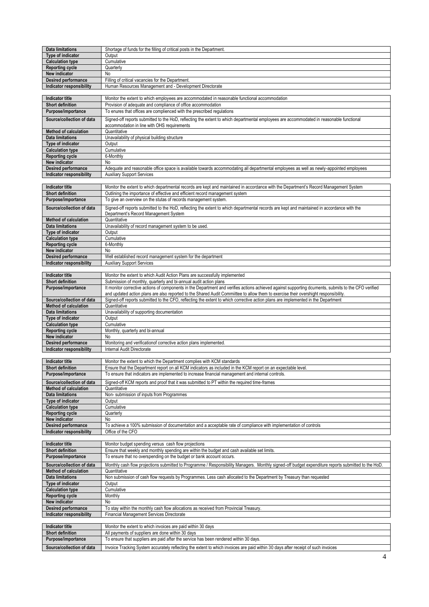| <b>Data limitations</b>                                   | Shortage of funds for the filling of critical posts in the Department.                                                                                                                                                                                                                      |
|-----------------------------------------------------------|---------------------------------------------------------------------------------------------------------------------------------------------------------------------------------------------------------------------------------------------------------------------------------------------|
| Type of indicator                                         | Output                                                                                                                                                                                                                                                                                      |
| <b>Calculation type</b>                                   | Cumulative                                                                                                                                                                                                                                                                                  |
| <b>Reporting cycle</b>                                    | Quarterly                                                                                                                                                                                                                                                                                   |
| New indicator                                             | No                                                                                                                                                                                                                                                                                          |
| Desired performance                                       | Filling of critical vacancies for the Department.                                                                                                                                                                                                                                           |
| Indicator responsibility                                  | Human Resources Management and - Development Directorate                                                                                                                                                                                                                                    |
|                                                           |                                                                                                                                                                                                                                                                                             |
| <b>Indicator title</b>                                    | Monitor the extent to which employees are accommodated in reasonable functional accommodation                                                                                                                                                                                               |
| <b>Short definition</b>                                   | Provision of adequate and compliance of office accommodation                                                                                                                                                                                                                                |
| Purpose/importance                                        | To enures that offices are complienced with the prescribed regulations                                                                                                                                                                                                                      |
| Source/collection of data                                 |                                                                                                                                                                                                                                                                                             |
|                                                           | Signed-off reports submitted to the HoD, reflecting the extent to which departmental employees are accommodated in reasonable functional<br>accommodation in line with OHS requirements                                                                                                     |
| <b>Method of calculation</b>                              | Quantitative                                                                                                                                                                                                                                                                                |
| <b>Data limitations</b>                                   | Unavailability of physical building structure                                                                                                                                                                                                                                               |
| Type of indicator                                         | Output                                                                                                                                                                                                                                                                                      |
| <b>Calculation type</b>                                   | Cumulative                                                                                                                                                                                                                                                                                  |
| <b>Reporting cycle</b>                                    | 6-Monthly                                                                                                                                                                                                                                                                                   |
| New indicator                                             | No                                                                                                                                                                                                                                                                                          |
| Desired performance                                       | Adequate and reasonable office space is available towards accommodating all departmental employees as well as newly-appointed employees                                                                                                                                                     |
| Indicator responsibility                                  | <b>Auxiliary Support Services</b>                                                                                                                                                                                                                                                           |
|                                                           |                                                                                                                                                                                                                                                                                             |
| <b>Indicator title</b>                                    | Monitor the extent to which departmental records are kept and maintained in accordance with the Department's Record Management System                                                                                                                                                       |
| <b>Short definition</b>                                   | Outlining the importance of effective and efficient record management system                                                                                                                                                                                                                |
| Purpose/importance                                        | To give an overview on the stutas of records management system.                                                                                                                                                                                                                             |
| Source/collection of data                                 | Signed-off reports submitted to the HoD, reflecting the extent to which departmental records are kept and maintained in accordance with the                                                                                                                                                 |
|                                                           | Department's Record Management System                                                                                                                                                                                                                                                       |
| <b>Method of calculation</b>                              | Quantitative                                                                                                                                                                                                                                                                                |
| <b>Data limitations</b>                                   | Unavailability of record management system to be used.                                                                                                                                                                                                                                      |
| Type of indicator                                         | Output                                                                                                                                                                                                                                                                                      |
| <b>Calculation type</b>                                   | Cumulative                                                                                                                                                                                                                                                                                  |
| <b>Reporting cycle</b>                                    | 6-Monthly                                                                                                                                                                                                                                                                                   |
| New indicator                                             | No                                                                                                                                                                                                                                                                                          |
| <b>Desired performance</b>                                | Well established record management system for the department                                                                                                                                                                                                                                |
| Indicator responsibility                                  | <b>Auxiliary Support Services</b>                                                                                                                                                                                                                                                           |
|                                                           |                                                                                                                                                                                                                                                                                             |
| <b>Indicator title</b>                                    | Monitor the extent to which Audit Action Plans are successfully implemented                                                                                                                                                                                                                 |
| Short definition                                          | Submission of monthly, quarterly and bi-annual audit action plans                                                                                                                                                                                                                           |
| Purpose/importance                                        | It monitor corrective actions of components in the Department and verifies actions achieved against supporting dcuments, submits to the CFO verified<br>and updated action plans are also reported to the Shared Audit Committee to allow them to exercise their overshight responsibility. |
|                                                           |                                                                                                                                                                                                                                                                                             |
| Source/collection of data                                 | Signed-off reports submitted to the CFO, reflecting the extent to which corrective action plans are implemented in the Department                                                                                                                                                           |
| <b>Method of calculation</b>                              | Quantitative                                                                                                                                                                                                                                                                                |
| <b>Data limitations</b>                                   | Unavailability of supporting documentation                                                                                                                                                                                                                                                  |
| Type of indicator                                         | Output                                                                                                                                                                                                                                                                                      |
| <b>Calculation type</b>                                   | Cumulative                                                                                                                                                                                                                                                                                  |
| <b>Reporting cycle</b>                                    | Monthly, quarterly and bi-annual                                                                                                                                                                                                                                                            |
| New indicator                                             | No                                                                                                                                                                                                                                                                                          |
| Desired performance                                       | Monitoring and verificationof corrective action plans implemented.                                                                                                                                                                                                                          |
| Indicator responsibility                                  | Internal Audit Directorate                                                                                                                                                                                                                                                                  |
| <b>Indicator title</b>                                    | Monitor the extent to which the Department complies with KCM standards                                                                                                                                                                                                                      |
| <b>Short definition</b>                                   |                                                                                                                                                                                                                                                                                             |
| Purpose/importance                                        | Ensure that the Department report on all KCM indicators as included in the KCM report on an expectable level.<br>To ensure that indicators are implemented to increase financial management and internal controls.                                                                          |
|                                                           |                                                                                                                                                                                                                                                                                             |
| Source/collection of data<br><b>Method of calculation</b> | Signed-off KCM reports and proof that it was submitted to PT within the required time-frames                                                                                                                                                                                                |
| <b>Data limitations</b>                                   | Quantitative<br>Non- submission of inputs from Programmes                                                                                                                                                                                                                                   |
| Type of indicator                                         | Output                                                                                                                                                                                                                                                                                      |
| <b>Calculation type</b>                                   | Cumulative                                                                                                                                                                                                                                                                                  |
| <b>Reporting cycle</b>                                    | Quarterly                                                                                                                                                                                                                                                                                   |
| New indicator                                             | No                                                                                                                                                                                                                                                                                          |
| Desired performance                                       | To achieve a 100% submission of documentation and a acceptable rate of compliance with implementation of controls                                                                                                                                                                           |
| Indicator responsibility                                  | Office of the CFO                                                                                                                                                                                                                                                                           |
|                                                           |                                                                                                                                                                                                                                                                                             |
| <b>Indicator title</b>                                    | Monitor budget spending versus cash flow projections                                                                                                                                                                                                                                        |
| Short definition                                          | Ensure that weekly and monthly spending are within the budget and cash available set limits.                                                                                                                                                                                                |
| Purpose/importance                                        | To ensure that no overspending on the budget or bank account occurs.                                                                                                                                                                                                                        |
| Source/collection of data                                 | Monthly cash flow projections submitted to Programme / Responsibility Managers. Monthly signed-off budget expenditure reports submitted to the HoD.                                                                                                                                         |
| <b>Method of calculation</b>                              | Quantitative                                                                                                                                                                                                                                                                                |
| <b>Data limitations</b>                                   | Non submission of cash flow requests by Programmes. Less cash allocated to the Department by Treasury than requested                                                                                                                                                                        |
| Type of indicator                                         | Output                                                                                                                                                                                                                                                                                      |
| <b>Calculation type</b>                                   | Cumulative                                                                                                                                                                                                                                                                                  |
| <b>Reporting cycle</b>                                    | Monthly                                                                                                                                                                                                                                                                                     |
| New indicator                                             | No                                                                                                                                                                                                                                                                                          |
| <b>Desired performance</b>                                | To stay within the monthly cash flow allocations as received from Provincial Treasury.                                                                                                                                                                                                      |
| Indicator responsibility                                  | Financial Management Services Directorate                                                                                                                                                                                                                                                   |
|                                                           |                                                                                                                                                                                                                                                                                             |
| <b>Indicator title</b>                                    | Monitor the extent to which invoices are paid within 30 days                                                                                                                                                                                                                                |
| Short definition                                          | All payments of suppliers are done within 30 days                                                                                                                                                                                                                                           |
| Purpose/importance<br>Source/collection of data           | To ensure that suppliers are paid after the service has been rendered within 30 days.<br>Invoice Tracking System accurately reflecting the extent to which invoices are paid within 30 days after receipt of such invoices                                                                  |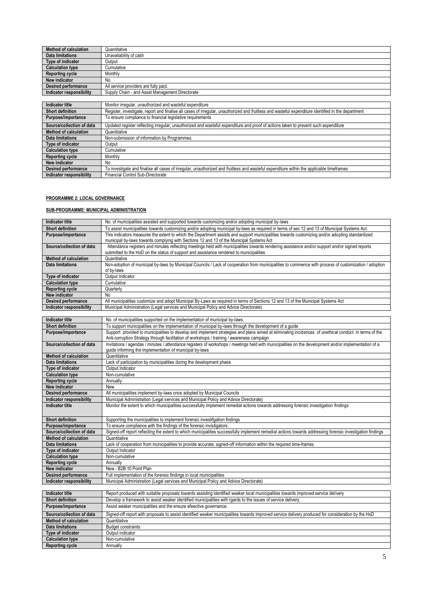| Quantitative                                    |
|-------------------------------------------------|
| Unavailability of cash                          |
| Output                                          |
| Cumulative                                      |
| Monthly                                         |
| No                                              |
| All service providers are fully paid.           |
| Supply Chain - and Asset Management Directorate |
|                                                 |

| Indicator title              | Monitor irregular, unauthorized and wasteful expenditure                                                                                            |
|------------------------------|-----------------------------------------------------------------------------------------------------------------------------------------------------|
| <b>Short definition</b>      | Register, investigate, report and finalise all cases of irregular, unauthorized and fruitless and wasteful expenditure identified in the department |
| Purpose/importance           | To ensure compliance to financial legislative requirements                                                                                          |
| Source/collection of data    | Updated register reflecting irregular, unauthorized and wasteful expenditure and proof of actions taken to prevent such expenditure                 |
| <b>Method of calculation</b> | Quantitative                                                                                                                                        |
| <b>Data limitations</b>      | Non-submission of information by Programmes.                                                                                                        |
| Type of indicator            | Output                                                                                                                                              |
| <b>Calculation type</b>      | Cumulative                                                                                                                                          |
| <b>Reporting cycle</b>       | Monthly                                                                                                                                             |
| New indicator                | No                                                                                                                                                  |
| <b>Desired performance</b>   | To investigate and finalise all cases of irregular, unauthorized and fruitless and wasteful expenditure within the applicable timeframes            |
| Indicator responsibility     | Financial Control Sub-Directorate                                                                                                                   |

#### **PROGRAMME 2: LOCAL GOVERNANCE**

# **SUB-PROGRAMME: MUNICIPAL ADMINISTRATION**

| <b>Indicator title</b>       | No. of municipalities assisted and supported towards customizing and/or adopting municipal by-laws                                                                                                                                                  |
|------------------------------|-----------------------------------------------------------------------------------------------------------------------------------------------------------------------------------------------------------------------------------------------------|
| <b>Short definition</b>      | To assist municipalities towards customizing and/or adopting municipal by-laws as required in terms of sec 12 and 13 of Municipal Systems Act.                                                                                                      |
| Purpose/importance           | This indicators measures the extent to which the Department assists and support municipalities towards customizing and/or adopting standardized                                                                                                     |
|                              | municipal by-laws towards complying with Sections 12 and 13 of the Municipal Systems Act                                                                                                                                                            |
| Source/collection of data    | Attendance registers and minutes reflecting meetings held with municipalities towards rendering assistance and/or support and/or signed reports<br>submitted to the HoD on the status of support and assistance rendered to municipalities          |
| <b>Method of calculation</b> | Quantitative                                                                                                                                                                                                                                        |
| <b>Data limitations</b>      | Non-adoption of municipal by-laws by Municipal Councils / Lack of cooperation from municipalities to commence with process of customization / adoption                                                                                              |
|                              | of by-laws                                                                                                                                                                                                                                          |
| Type of indicator            | Output Indicator                                                                                                                                                                                                                                    |
| <b>Calculation type</b>      | Cumulative                                                                                                                                                                                                                                          |
| <b>Reporting cycle</b>       | Quarterly                                                                                                                                                                                                                                           |
| New indicator                | No                                                                                                                                                                                                                                                  |
| <b>Desired performance</b>   | All municipalities customize and adopt Municipal By-Laws as required in terms of Sections 12 and 13 of the Municipal Systems Act                                                                                                                    |
| Indicator responsibility     | Municipal Administration (Legal services and Municipal Policy and Advice Directorate)                                                                                                                                                               |
|                              |                                                                                                                                                                                                                                                     |
| <b>Indicator title</b>       | No. of municipalities supported on the implementation of municipal by-laws.                                                                                                                                                                         |
| <b>Short definition</b>      | To support municipalities on the implementation of municipal by-laws through the development of a guide                                                                                                                                             |
| Purpose/importance           | Support provided to municipalities to develop and implement strategies and plans aimed at eliminating incidences of unethical conduct in terms of the<br>Anti-corruption Strategy through facilitation of workshops / training / awareness campaign |
| Source/collection of data    | Invitations / agendas / minutes / attendance registers of workshops / meetings held with municipalities on the development and/or implementation of a                                                                                               |
|                              | guide informing the implementation of municipal by-laws                                                                                                                                                                                             |
| <b>Method of calculation</b> | Quantitative                                                                                                                                                                                                                                        |
| <b>Data limitations</b>      | Lack of participation by municipalities during the development phase                                                                                                                                                                                |
| Type of indicator            | Output Indicator                                                                                                                                                                                                                                    |
| <b>Calculation type</b>      | Non-cumulative                                                                                                                                                                                                                                      |
| <b>Reporting cycle</b>       | Annually                                                                                                                                                                                                                                            |
| New indicator                | New                                                                                                                                                                                                                                                 |
| Desired performance          | All municipalities implement by-laws once adopted by Municipal Councils                                                                                                                                                                             |
| Indicator responsibility     | Municipal Administration (Legal services and Municipal Policy and Advice Directorate)                                                                                                                                                               |
| <b>Indicator title</b>       | Monitor the extent to which municipalities successfully implement remedial actions towards addressing forensic investigation findings                                                                                                               |
| <b>Short definition</b>      | Supporting the municipalities to implement forensic investifgation findings                                                                                                                                                                         |
| Purpose/importance           | To ensure compliance with the findings of the forensic invistigators.                                                                                                                                                                               |
| Source/collection of data    | Signed-off report reflecting the extent to which municipalities successfully implement remedial actions towards addressing forensic investigation findings                                                                                          |
| <b>Method of calculation</b> | Quantitative                                                                                                                                                                                                                                        |
| <b>Data limitations</b>      | Lack of cooperation from municipalities to provide accurate, signed-off information within the required time-frames                                                                                                                                 |
| Type of indicator            | Output Indicator                                                                                                                                                                                                                                    |
| <b>Calculation type</b>      | Non-cumulative                                                                                                                                                                                                                                      |
| <b>Reporting cycle</b>       | Annually                                                                                                                                                                                                                                            |
| New indicator                | New - B2B 10 Point Plan                                                                                                                                                                                                                             |
| Desired performance          | Full implementation of the forensic findings in local municipalities                                                                                                                                                                                |
| Indicator responsibility     | Municipal Administration (Legal services and Municipal Policy and Advice Directorate)                                                                                                                                                               |
|                              |                                                                                                                                                                                                                                                     |
| <b>Indicator title</b>       | Report produced with suitable proposals towards assisting identified weaker local municipalities towards improved service delivery                                                                                                                  |
| <b>Short definition</b>      | Develop a framework to assist weaker identified municipalities with rgards to the issues of service delivery                                                                                                                                        |
| Purpose/importance           | Assist weaker municipalities and the ensure efeective governance.                                                                                                                                                                                   |
| Source/collection of data    | Signed-off report with proposals to assist identified weaker municipalities towards improved service delivery produced for consideration by the HoD                                                                                                 |
| <b>Method of calculation</b> | Quantitative                                                                                                                                                                                                                                        |
| <b>Data limitations</b>      | <b>Budget constraints</b>                                                                                                                                                                                                                           |
| Type of indicator            | Output indicator                                                                                                                                                                                                                                    |
| <b>Calculation type</b>      | Non-cumulative                                                                                                                                                                                                                                      |
| <b>Reporting cycle</b>       | Annually                                                                                                                                                                                                                                            |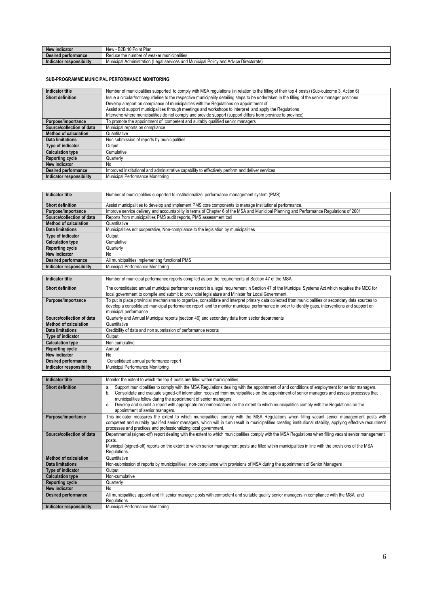| New<br><sup>,</sup> indicator | *Plan<br>- B2B<br>$\overline{10}$<br>New<br>Point<br>. ש                                                             |
|-------------------------------|----------------------------------------------------------------------------------------------------------------------|
| <b>Desired performance</b>    | Reduce the<br>r municipalities<br>number<br>weaker<br>.                                                              |
| responsibility<br>Indicator   | - -<br>I services and Municipal<br>-<br>Policy<br>Advice Directorate)<br>Municipal Administration<br>≀and.<br>(Legal |

# **SUB-PROGRAMME MUNICIPAL PERFORMANCE MONITORING**

| <b>Indicator title</b>       | Number of municipalities supported to comply with MSA regulations (in relation to the filling of their top 4 posts) (Sub-outcome 3, Action 6)    |
|------------------------------|--------------------------------------------------------------------------------------------------------------------------------------------------|
| <b>Short definition</b>      | Issue a circular/notice/guideline to the respective municipality detailing steps to be undertaken in the filling of the senior manager positions |
|                              | Develop a report on compliance of municipalities with the Regulations on appointment of                                                          |
|                              | Assist and support municipalities through meetings and workshops to interpret and apply the Regulations                                          |
|                              | Intervene where municipalities do not comply and provide support (support differs from province to province)                                     |
| Purpose/importance           | To promote the appointment of competent and suitably qualified senior managers                                                                   |
| Source/collection of data    | Municipal reports on compliance                                                                                                                  |
| <b>Method of calculation</b> | Quantitative                                                                                                                                     |
| Data limitations             | Non submission of reports by municipalities                                                                                                      |
| Type of indicator            | Output                                                                                                                                           |
| <b>Calculation type</b>      | Cumulative                                                                                                                                       |
| <b>Reporting cycle</b>       | Quarterly                                                                                                                                        |
| New indicator                | No                                                                                                                                               |
| <b>Desired performance</b>   | Improved institutional and administrative capability to effectively perform and deliver services                                                 |
| Indicator responsibility     | Municipal Performance Monitoring                                                                                                                 |

| <b>Indicator title</b>       | Number of municipalities supported to institutionalize performance management system (PMS)                                              |
|------------------------------|-----------------------------------------------------------------------------------------------------------------------------------------|
|                              |                                                                                                                                         |
| <b>Short definition</b>      | Assist municipalities to develop and implement PMS core components to manage institutional performance.                                 |
| Purpose/importance           | Improve service delivery and accountability in terms of Chapter 6 of the MSA and Municipal Planning and Performance Regulations of 2001 |
| Source/collection of data    | Reports from municipalities PMS audit reports, PMS assessment tool                                                                      |
| <b>Method of calculation</b> | Quantitative                                                                                                                            |
| Data limitations             | Municipalities not cooperative, Non-compliance to the legislation by municipalities                                                     |
| Type of indicator            | Output                                                                                                                                  |
| <b>Calculation type</b>      | Cumulative                                                                                                                              |
| <b>Reporting cycle</b>       | Quarterly                                                                                                                               |
| New indicator                | No                                                                                                                                      |
| <b>Desired performance</b>   | All municipalities implementing functional PMS                                                                                          |
| Indicator responsibility     | Municipal Performance Monitoring                                                                                                        |

| <b>Indicator title</b>          | Number of municipal performance reports compiled as per the requirements of Section 47 of the MSA                                                                                                                                                                                                                                 |
|---------------------------------|-----------------------------------------------------------------------------------------------------------------------------------------------------------------------------------------------------------------------------------------------------------------------------------------------------------------------------------|
| <b>Short definition</b>         | The consolidated annual municipal performance report is a legal requirement in Section 47 of the Municipal Systems Act which requires the MEC for<br>local government to compile and submit to provincial legislature and Minister for Local Government.                                                                          |
| Purpose/importance              | To put in place provincial mechanisms to organize, consolidate and interpret primary data collected from municipalities or secondary data sources to<br>develop a consolidated municipal performance report and to monitor municipal performance in order to identify gaps, interventions and support on<br>municipal performance |
| Source/collection of data       | Quarterly and Annual Municipal reports (section 46) and secondary data from sector departments                                                                                                                                                                                                                                    |
| <b>Method of calculation</b>    | Quantitative                                                                                                                                                                                                                                                                                                                      |
| Data limitations                | Credibility of data and non submission of performance reports                                                                                                                                                                                                                                                                     |
| <b>Type of indicator</b>        | Output                                                                                                                                                                                                                                                                                                                            |
| <b>Calculation type</b>         | Non cumulative                                                                                                                                                                                                                                                                                                                    |
| <b>Reporting cycle</b>          | Annual                                                                                                                                                                                                                                                                                                                            |
| New indicator                   | No.                                                                                                                                                                                                                                                                                                                               |
| <b>Desired performance</b>      | Consolidated annual performance report                                                                                                                                                                                                                                                                                            |
| <b>Indicator responsibility</b> | Municipal Performance Monitoring                                                                                                                                                                                                                                                                                                  |

| Indicator title              | Monitor the extent to which the top 4 posts are filled within municipalities                                                                                                                                                                                                                                                                                                                                                                                                                                                                                  |
|------------------------------|---------------------------------------------------------------------------------------------------------------------------------------------------------------------------------------------------------------------------------------------------------------------------------------------------------------------------------------------------------------------------------------------------------------------------------------------------------------------------------------------------------------------------------------------------------------|
| <b>Short definition</b>      | Support municipalities to comply with the MSA Regulations dealing with the appointment of and conditions of employment for senior managers.<br>a.<br>Consolidate and evaluate signed-off information received from municipalities on the appointment of senior managers and assess processes that<br>b.<br>municipalities follow during the appointment of senior managers.<br>Develop and submit a report with appropriate recommendations on the extent to which municipalities comply with the Regulations on the<br>C.<br>appointment of senior managers. |
| Purpose/importance           | This indicator measures the extent to which municipalities comply with the MSA Regulations when filling vacant senior management posts with<br>competent and suitably qualified senior managers, which will in turn result in municipalities creating institutional stability, applying effective recruitment<br>processes and practices and professionalizing local government.                                                                                                                                                                              |
| Source/collection of data    | Departmental (signed-off) report dealing with the extent to which municipalities comply with the MSA Regulations when filling vacant senior management<br>posts.<br>Municipal (signed-off) reports on the extent to which senior management posts are filled within municipalities in line with the provisions of the MSA<br>Regulations.                                                                                                                                                                                                                     |
| <b>Method of calculation</b> | Quantitative                                                                                                                                                                                                                                                                                                                                                                                                                                                                                                                                                  |
| <b>Data limitations</b>      | Non-submission of reports by municipalities; non-compliance with provisions of MSA during the appointment of Senior Managers                                                                                                                                                                                                                                                                                                                                                                                                                                  |
| <b>Type of indicator</b>     | Output                                                                                                                                                                                                                                                                                                                                                                                                                                                                                                                                                        |
| <b>Calculation type</b>      | Non-cumulative                                                                                                                                                                                                                                                                                                                                                                                                                                                                                                                                                |
| <b>Reporting cycle</b>       | Quarterly                                                                                                                                                                                                                                                                                                                                                                                                                                                                                                                                                     |
| New indicator                | No                                                                                                                                                                                                                                                                                                                                                                                                                                                                                                                                                            |
| Desired performance          | All municipalities appoint and fill senior manager posts with competent and suitable quality senior managers in compliance with the MSA and<br>Regulations                                                                                                                                                                                                                                                                                                                                                                                                    |
| Indicator responsibility     | Municipal Performance Monitoring                                                                                                                                                                                                                                                                                                                                                                                                                                                                                                                              |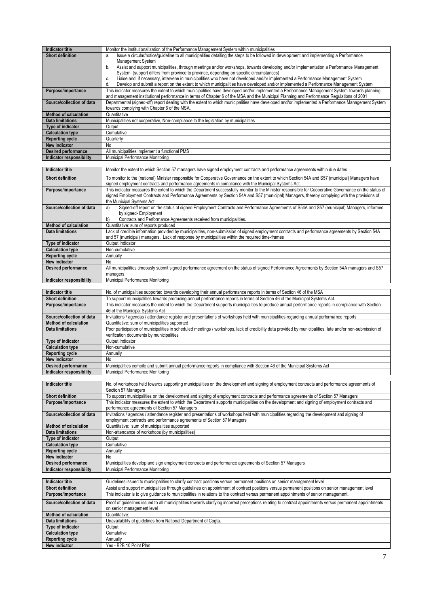| <b>Indicator title</b>       | Monitor the institutionalization of the Performance Management System within municipalities                                                        |
|------------------------------|----------------------------------------------------------------------------------------------------------------------------------------------------|
| <b>Short definition</b>      | Issue a circular/notice/quideline to all municipalities detailing the steps to be followed in development and implementing a Performance<br>a.     |
|                              | Management System                                                                                                                                  |
|                              | Assist and support municipalities, through meetings and/or workshops, towards developing and/or implementation a Performance Management<br>b.      |
|                              | System (support differs from province to province, depending on specific circumstances)                                                            |
|                              | Liaise and, if necessary, intervene in municipalities who have not developed and/or implemented a Performance Management System<br>c.              |
|                              | Develop and submit a report on the extent to which municipalities have developed and/or implemented a Performance Management System<br>d.          |
| Purpose/importance           | This indicator measures the extent to which municipalities have developed and/or implemented a Performance Management System towards planning      |
|                              | and management institutional performance in terms of Chapter 6 of the MSA and the Municipal Planning and Performance Regulations of 2001           |
| Source/collection of data    | Departmental (signed-off) report dealing with the extent to which municipalities have developed and/or implemented a Performance Management System |
|                              | towards complying with Chapter 6 of the MSA.                                                                                                       |
| <b>Method of calculation</b> | Quantitative                                                                                                                                       |
| Data limitations             | Municipalities not cooperative, Non-compliance to the legislation by municipalities                                                                |
| <b>Type of indicator</b>     | Output                                                                                                                                             |
| <b>Calculation type</b>      | Cumulative                                                                                                                                         |
| <b>Reporting cycle</b>       | Quarterly                                                                                                                                          |
| <b>New indicator</b>         | No.                                                                                                                                                |
| <b>Desired performance</b>   | All municipalities implement a functional PMS                                                                                                      |
| Indicator responsibility     | Municipal Performance Monitoring                                                                                                                   |

| Indicator title              | Monitor the extent to which Section 57 managers have signed employment contracts and performance agreements within due dates                                                                                                                                                                                                         |
|------------------------------|--------------------------------------------------------------------------------------------------------------------------------------------------------------------------------------------------------------------------------------------------------------------------------------------------------------------------------------|
| <b>Short definition</b>      | To monitor to the (national) Minister responsible for Cooperative Governance on the extent to which Section 54A and S57 (municipal) Managers have<br>signed employment contracts and performance agreements in compliance with the Municipal Systems Act.                                                                            |
| Purpose/importance           | This indicator measures the extent to which the Department successfully monitor to the Minister responsible for Cooperative Governance on the status of<br>signed Employment Contracts and Performance Agreements by Section 54A and S57 (municipal) Managers, thereby complying with the provisions of<br>the Municipal Systems Act |
| Source/collection of data    | Signed-off report on the status of signed Employment Contracts and Performance Agreements of S54A and S57 (municipal) Managers, informed<br>a)<br>by signed- Employment<br>Contracts and Performance Agreements received from municipalities.<br>b)                                                                                  |
| <b>Method of calculation</b> | Quantitative: sum of reports produced                                                                                                                                                                                                                                                                                                |
| <b>Data limitations</b>      | Lack of credible information provided by municipalities, non-submission of signed employment contracts and performance agreements by Section 54A<br>and 57 (municipal) managers. Lack of response by municipalities within the required time-frames                                                                                  |
| Type of indicator            | Output Indicator                                                                                                                                                                                                                                                                                                                     |
| <b>Calculation type</b>      | Non-cumulative                                                                                                                                                                                                                                                                                                                       |
| <b>Reporting cycle</b>       | Annually                                                                                                                                                                                                                                                                                                                             |
| New indicator                | No                                                                                                                                                                                                                                                                                                                                   |
| <b>Desired performance</b>   | All municipalities timeously submit signed performance agreement on the status of signed Performance Agreements by Section 54A managers and S57                                                                                                                                                                                      |
|                              | managers                                                                                                                                                                                                                                                                                                                             |
| Indicator responsibility     | Municipal Performance Monitoring                                                                                                                                                                                                                                                                                                     |

| <b>Indicator title</b>       | No. of municipalities supported towards developing their annual performance reports in terms of Section 46 of the MSA                                      |
|------------------------------|------------------------------------------------------------------------------------------------------------------------------------------------------------|
| <b>Short definition</b>      | To support municipalities towards producing annual performance reports in terms of Section 46 of the Municipal Systems Act.                                |
| Purpose/importance           | This indicator measures the extent to which the Department supports municipalities to produce annual performance reports in compliance with Section        |
|                              | 46 of the Municipal Systems Act                                                                                                                            |
| Source/collection of data    | Invitations / agendas / attendance register and presentations of workshops held with municipalities regarding annual performance reports                   |
| <b>Method of calculation</b> | Quantitative: sum of municipalities supported                                                                                                              |
| <b>Data limitations</b>      | Poor participation of municipalities in scheduled meetings / workshops, lack of credibility data provided by municipalities, late and/or non-submission of |
|                              | verification documents by municipalities                                                                                                                   |
| Type of indicator            | Output Indicator                                                                                                                                           |
| <b>Calculation type</b>      | Non-cumulative                                                                                                                                             |
| <b>Reporting cycle</b>       | Annually                                                                                                                                                   |
| New indicator                | No.                                                                                                                                                        |
| <b>Desired performance</b>   | Municipalities compile and submit annual performance reports in compliance with Section 46 of the Municipal Systems Act                                    |
| Indicator responsibility     | Municipal Performance Monitoring                                                                                                                           |

| <b>Indicator title</b>          | No. of workshops held towards supporting municipalities on the development and signing of employment contracts and performance agreements of<br>Section 57 Managers                                                    |
|---------------------------------|------------------------------------------------------------------------------------------------------------------------------------------------------------------------------------------------------------------------|
| <b>Short definition</b>         | To support municipalities on the development and signing of employment contracts and performance agreements of Section 57 Managers                                                                                     |
| Purpose/importance              | This indicator measures the extent to which the Department supports municipalities on the development and signing of employment contracts and<br>performance agreements of Section 57 Managers                         |
| Source/collection of data       | Invitations / agendas / attendance register and presentations of workshops held with municipalities regarding the development and signing of<br>employment contracts and performance agreements of Section 57 Managers |
| <b>Method of calculation</b>    | Quantitative: sum of municipalities supported                                                                                                                                                                          |
| <b>Data limitations</b>         | Non-attendance of workshops (by municipalities)                                                                                                                                                                        |
| <b>Type of indicator</b>        | Output                                                                                                                                                                                                                 |
| <b>Calculation type</b>         | Cumulative                                                                                                                                                                                                             |
| <b>Reporting cycle</b>          | Annually                                                                                                                                                                                                               |
| New indicator                   | No                                                                                                                                                                                                                     |
| <b>Desired performance</b>      | Municipalities develop and sign employment contracts and performance agreements of Section 57 Managers                                                                                                                 |
| <b>Indicator responsibility</b> | Municipal Performance Monitoring                                                                                                                                                                                       |

| Indicator title           | Guidelines issued to municipalities to clarify contract positions versus permanent positions on senior management level                                   |
|---------------------------|-----------------------------------------------------------------------------------------------------------------------------------------------------------|
| <b>Short definition</b>   | Assist and support municipalities through guidelines on appointment of contract positions versus permanent positions on senior management level           |
| Purpose/importance        | This indicator is to give guidance to municipalities in relations to the contract versus permanent appointments of senior management.                     |
| Source/collection of data | Proof of quidelines issued to all municipalities towards clarifying incorrect perceptions relating to contract appointments versus permanent appointments |
|                           | on senior management level                                                                                                                                |
| Method of calculation     | Quantitative:                                                                                                                                             |
| <b>Data limitations</b>   | Unavailability of quidelines from National Department of Cogta.                                                                                           |
| Type of indicator         | Output                                                                                                                                                    |
| <b>Calculation type</b>   | Cumulative                                                                                                                                                |
| <b>Reporting cycle</b>    | Annually                                                                                                                                                  |
| New indicator             | Yes - B2B 10 Point Plan                                                                                                                                   |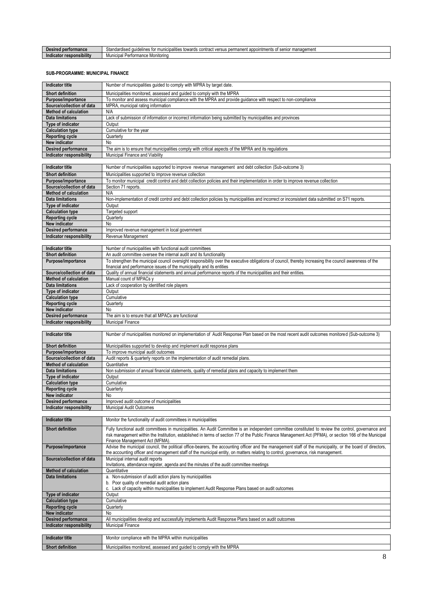| eira<br>errormance                    | $^{\sim}$<br>auıd<br>muni<br>contract<br>management<br>toward<br>ointments<br>Nines.<br>ipalitie<br>$V\cap T$<br>senio<br>غاد<br>iuaruiset<br>VEISL<br>- 1921<br>ື |
|---------------------------------------|--------------------------------------------------------------------------------------------------------------------------------------------------------------------|
| .<br><b>esponsibility</b><br>ndicator | Municipa <sup>l</sup><br>: Monitorina<br>$\cdot$ $\sim$ $\sim$<br>iltillal i<br>                                                                                   |

#### **SUB-PROGRAMME: MUNICIPAL FINANCE**

| <b>Indicator title</b>                                  | Number of municipalities guided to comply with MPRA by target date.                                                                                                                                                                                                                                                                                |
|---------------------------------------------------------|----------------------------------------------------------------------------------------------------------------------------------------------------------------------------------------------------------------------------------------------------------------------------------------------------------------------------------------------------|
| <b>Short definition</b>                                 | Municipalities monitored, assessed and guided to comply with the MPRA                                                                                                                                                                                                                                                                              |
| Purpose/importance                                      | To monitor and assess municipal compliance with the MPRA and provide guidance with respect to non-compliance                                                                                                                                                                                                                                       |
| Source/collection of data                               | MPRA, municipal rating information                                                                                                                                                                                                                                                                                                                 |
| <b>Method of calculation</b>                            | N/A                                                                                                                                                                                                                                                                                                                                                |
| <b>Data limitations</b>                                 | Lack of submission of information or incorrect information being submitted by municipalities and provinces                                                                                                                                                                                                                                         |
| Type of indicator<br><b>Calculation type</b>            | Output<br>Cumulative for the year                                                                                                                                                                                                                                                                                                                  |
| <b>Reporting cycle</b>                                  | Quarterly                                                                                                                                                                                                                                                                                                                                          |
| New indicator                                           | No                                                                                                                                                                                                                                                                                                                                                 |
| <b>Desired performance</b>                              | The aim is to ensure that municipalities comply with critical aspects of the MPRA and its regulations                                                                                                                                                                                                                                              |
| Indicator responsibility                                | Municipal Finance and Viability                                                                                                                                                                                                                                                                                                                    |
|                                                         |                                                                                                                                                                                                                                                                                                                                                    |
| <b>Indicator title</b>                                  | Number of municipalities supported to improve revenue management and debt collection (Sub-outcome 3)                                                                                                                                                                                                                                               |
| <b>Short definition</b><br>Purpose/importance           | Municipalities supported to improve revenue collection<br>To monitor municipal credit control and debt collection policies and their implementation in order to improve revenue collection                                                                                                                                                         |
| Source/collection of data                               | Section 71 reports.                                                                                                                                                                                                                                                                                                                                |
| <b>Method of calculation</b>                            | N/A                                                                                                                                                                                                                                                                                                                                                |
| <b>Data limitations</b>                                 | Non-implementation of credit control and debt collection policies by municipalities and incorrect or inconsistent data submitted on S71 reports.                                                                                                                                                                                                   |
| Type of indicator                                       | Output                                                                                                                                                                                                                                                                                                                                             |
| <b>Calculation type</b>                                 | Targeted support                                                                                                                                                                                                                                                                                                                                   |
| <b>Reporting cycle</b><br>New indicator                 | Quarterly<br>No                                                                                                                                                                                                                                                                                                                                    |
| Desired performance                                     | Improved revenue management in local government                                                                                                                                                                                                                                                                                                    |
| Indicator responsibility                                | Revenue Management                                                                                                                                                                                                                                                                                                                                 |
|                                                         |                                                                                                                                                                                                                                                                                                                                                    |
| <b>Indicator title</b>                                  | Number of municipalities with functional audit committees                                                                                                                                                                                                                                                                                          |
| <b>Short definition</b>                                 | An audit committee oversee the internal audit and its functionality                                                                                                                                                                                                                                                                                |
| Purpose/importance                                      | To strengthen the municipal council oversight responsibility over the executive obligations of council, thereby increasing the council awareness of the<br>financial and performance issues of the municipality and its entities                                                                                                                   |
| Source/collection of data                               | Quality of annual financial statements and annual performance reports of the municipalities and their entities.                                                                                                                                                                                                                                    |
| <b>Method of calculation</b>                            | Manual count of MPACs y                                                                                                                                                                                                                                                                                                                            |
| <b>Data limitations</b>                                 | Lack of cooperation by identified role players                                                                                                                                                                                                                                                                                                     |
| Type of indicator                                       | Output                                                                                                                                                                                                                                                                                                                                             |
| <b>Calculation type</b><br><b>Reporting cycle</b>       | Cumulative<br>Quarterly                                                                                                                                                                                                                                                                                                                            |
| New indicator                                           | No                                                                                                                                                                                                                                                                                                                                                 |
| Desired performance                                     | The aim is to ensure that all MPACs are functional                                                                                                                                                                                                                                                                                                 |
| Indicator responsibility                                | <b>Municipal Finance</b>                                                                                                                                                                                                                                                                                                                           |
|                                                         |                                                                                                                                                                                                                                                                                                                                                    |
| <b>Indicator title</b>                                  | Number of municipalities monitored on implementation of Audit Response Plan based on the most recent audit outcomes monitored (Sub-outcome 3)                                                                                                                                                                                                      |
| <b>Short definition</b>                                 | Municipalities supported to develop and implement audit response plans                                                                                                                                                                                                                                                                             |
| Purpose/importance                                      | To improve municipal audit outcomes                                                                                                                                                                                                                                                                                                                |
| Source/collection of data                               | Audit reports & quarterly reports on the implementation of audit remedial plans.                                                                                                                                                                                                                                                                   |
| Method of calculation                                   | Quantitative                                                                                                                                                                                                                                                                                                                                       |
| <b>Data limitations</b><br>Type of indicator            | Non submission of annual financial statements, quality of remedial plans and capacity to implement them<br>Output                                                                                                                                                                                                                                  |
| <b>Calculation type</b>                                 | Cumulative                                                                                                                                                                                                                                                                                                                                         |
| <b>Reporting cycle</b>                                  | Quarterly                                                                                                                                                                                                                                                                                                                                          |
| New indicator                                           | No                                                                                                                                                                                                                                                                                                                                                 |
| <b>Desired performance</b>                              | Improved audit outcome of municipalities                                                                                                                                                                                                                                                                                                           |
| Indicator responsibility                                | Municipal Audit Outcomes                                                                                                                                                                                                                                                                                                                           |
| <b>Indicator title</b>                                  | Monitor the functionality of audit committees in municipalities                                                                                                                                                                                                                                                                                    |
|                                                         |                                                                                                                                                                                                                                                                                                                                                    |
| <b>Short definition</b>                                 | Fully functional audit committees in municipalities. An Audit Committee is an independent committee constituted to review the control, governance and<br>risk management within the Institution, established in terms of section 77 of the Public Finance Management Act (PFMA), or section 166 of the Municipal<br>Finance Management Act (MFMA). |
| Purpose/importance                                      | Advise the municipal council, the political office-bearers, the accounting officer and the management staff of the municipality, or the board of directors,<br>the accounting officer and management staff of the municipal entity, on matters relating to control, governance, risk management.                                                   |
| Source/collection of data                               | Municipal internal audit reports<br>Invitations, attendance register, agenda and the minutes of the audit committee meetings                                                                                                                                                                                                                       |
| <b>Method of calculation</b><br><b>Data limitations</b> | Quantitative                                                                                                                                                                                                                                                                                                                                       |
|                                                         | a. Non-submission of audit action plans by municipalities<br>b. Poor quality of remedial audit action plans<br>c. Lack of capacity within municipalities to implement Audit Response Plans based on audit outcomes                                                                                                                                 |
| Type of indicator                                       | Output                                                                                                                                                                                                                                                                                                                                             |
| <b>Calculation type</b>                                 | Cumulative                                                                                                                                                                                                                                                                                                                                         |
| <b>Reporting cycle</b>                                  | Quarterly                                                                                                                                                                                                                                                                                                                                          |
| New indicator<br>Desired performance                    | No<br>All municipalities develop and successfully implements Audit Response Plans based on audit outcomes                                                                                                                                                                                                                                          |
| Indicator responsibility                                | <b>Municipal Finance</b>                                                                                                                                                                                                                                                                                                                           |
|                                                         |                                                                                                                                                                                                                                                                                                                                                    |
| <b>Indicator title</b>                                  | Monitor compliance with the MPRA within municipalities                                                                                                                                                                                                                                                                                             |
| <b>Short definition</b>                                 | Municipalities monitored, assessed and guided to comply with the MPRA                                                                                                                                                                                                                                                                              |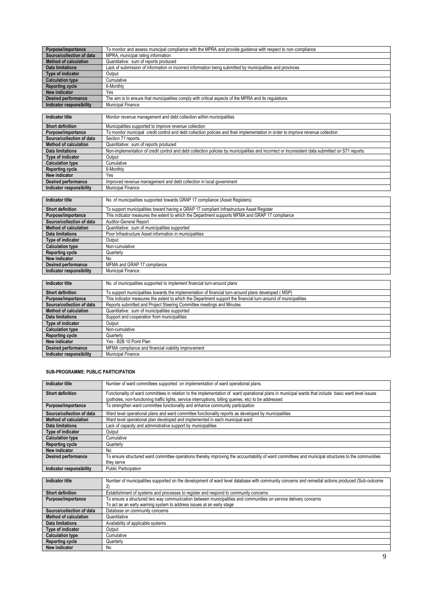| Purpose/importance           | To monitor and assess municipal compliance with the MPRA and provide quidance with respect to non-compliance                                     |
|------------------------------|--------------------------------------------------------------------------------------------------------------------------------------------------|
| Source/collection of data    | MPRA, municipal rating information                                                                                                               |
| <b>Method of calculation</b> | Quantitative: sum of reports produced                                                                                                            |
| <b>Data limitations</b>      | Lack of submission of information or incorrect information being submitted by municipalities and provinces                                       |
| Type of indicator            | Output                                                                                                                                           |
| <b>Calculation type</b>      | Cumulative                                                                                                                                       |
| <b>Reporting cycle</b>       | 6-Monthly                                                                                                                                        |
| New indicator                | Yes                                                                                                                                              |
| <b>Desired performance</b>   | The aim is to ensure that municipalities comply with critical aspects of the MPRA and its requlations                                            |
| Indicator responsibility     | Municipal Finance                                                                                                                                |
|                              |                                                                                                                                                  |
| Indicator title              | Monitor revenue management and debt collection within municipalities                                                                             |
| <b>Short definition</b>      | Municipalities supported to improve revenue collection                                                                                           |
| Purpose/importance           | To monitor municipal credit control and debt collection policies and their implementation in order to improve revenue collection                 |
| Source/collection of data    | Section 71 reports.                                                                                                                              |
| <b>Method of calculation</b> | Quantitative: sum of reports produced                                                                                                            |
| Data limitations             | Non-implementation of credit control and debt collection policies by municipalities and incorrect or inconsistent data submitted on S71 reports. |
| Type of indicator            | Output                                                                                                                                           |
| <b>Calculation type</b>      | Cumulative                                                                                                                                       |
| <b>Reporting cycle</b>       | 6-Monthly                                                                                                                                        |
| New indicator                | Yes                                                                                                                                              |
| <b>Desired performance</b>   | Improved revenue management and debt collection in local government                                                                              |
| Indicator responsibility     | <b>Municipal Finance</b>                                                                                                                         |
|                              |                                                                                                                                                  |

| Indicator title              | No. of municipalities supported towards GRAP 17 compliance (Asset Registers)                    |
|------------------------------|-------------------------------------------------------------------------------------------------|
| <b>Short definition</b>      | To support municipalities toward having a GRAP 17 compliant Infrastructure Asset Register       |
| Purpose/importance           | This indicator measures the extent to which the Department supports MFMA and GRAP 17 compliance |
| Source/collection of data    | <b>Auditor-General Report</b>                                                                   |
| <b>Method of calculation</b> | Quantitative: sum of municipalities supported                                                   |
| <b>Data limitations</b>      | Poor Infrastructure Asset information in municipalities                                         |
| Type of indicator            | Output                                                                                          |
| <b>Calculation type</b>      | Non-cumulative                                                                                  |
| <b>Reporting cycle</b>       | Quarterly                                                                                       |
| New indicator                | No                                                                                              |
| Desired performance          | MFMA and GRAP 17 compliance                                                                     |
| Indicator responsibility     | <b>Municipal Finance</b>                                                                        |

| Indicator title                 | No. of municipalities supported to implement financial turn-around plans                                       |
|---------------------------------|----------------------------------------------------------------------------------------------------------------|
| <b>Short definition</b>         | To support municipalities towards the implementation of financial turn-around plans developed (MSP)            |
| Purpose/importance              | This indicator measures the extent to which the Department support the financial turn-around of municipalities |
| Source/collection of data       | Reports submitted and Project Steering Committee meetings and Minutes                                          |
| <b>Method of calculation</b>    | Quantitative: sum of municipalities supported                                                                  |
| <b>Data limitations</b>         | Support and cooperation from municipalities                                                                    |
| Type of indicator               | Output                                                                                                         |
| <b>Calculation type</b>         | Non-cumulative                                                                                                 |
| <b>Reporting cycle</b>          | Quarterly                                                                                                      |
| New indicator                   | Yes - B2B 10 Point Plan                                                                                        |
| <b>Desired performance</b>      | MFMA compliance and financial viability improvement                                                            |
| <b>Indicator responsibility</b> | <b>Municipal Finance</b>                                                                                       |

## **SUB-PROGRAMME: PUBLIC PARTICIPATION**

| <b>Indicator title</b>       | Number of ward committees supported on implementation of ward operational plans.                                                                                                                                                                                |
|------------------------------|-----------------------------------------------------------------------------------------------------------------------------------------------------------------------------------------------------------------------------------------------------------------|
| <b>Short definition</b>      | Functionality of ward committees in relation to the implementation of ward operational plans in municipal wards that include basic ward level issues<br>(potholes, non-functioning traffic lights, service interruptions, billing queries, etc) to be addressed |
| Purpose/importance           | To strengthen ward committee functionality and enhance community participation                                                                                                                                                                                  |
| Source/collection of data    | Ward level operational plans and ward committee functionality reports as developed by municipalities                                                                                                                                                            |
| <b>Method of calculation</b> | Ward level operational plan developed and implemented in each municipal ward                                                                                                                                                                                    |
| <b>Data limitations</b>      | Lack of capacity and administrative support by municipalities                                                                                                                                                                                                   |
| Type of indicator            | Output                                                                                                                                                                                                                                                          |
| <b>Calculation type</b>      | Cumulative                                                                                                                                                                                                                                                      |
| <b>Reporting cycle</b>       | Quarterly                                                                                                                                                                                                                                                       |
| New indicator                | No                                                                                                                                                                                                                                                              |
| Desired performance          | To ensure structured ward committee operations thereby improving the accountability of ward committees and municipal structures to the communities                                                                                                              |
|                              | they serve                                                                                                                                                                                                                                                      |
| Indicator responsibility     | <b>Public Participation</b>                                                                                                                                                                                                                                     |

| Indicator title              | Number of municipalities supported on the development of ward level database with community concerns and remedial actions produced (Sub-outcome |
|------------------------------|-------------------------------------------------------------------------------------------------------------------------------------------------|
|                              |                                                                                                                                                 |
| <b>Short definition</b>      | Establishment of systems and processes to register and respond to community concerns                                                            |
| Purpose/importance           | To ensure a structured two way communication between municipalities and communities on service delivery concerns                                |
|                              | To act as an early warning system to address issues at an early stage                                                                           |
| Source/collection of data    | Database on community concerns                                                                                                                  |
| <b>Method of calculation</b> | Quantitative                                                                                                                                    |
| Data limitations             | Availability of applicable systems                                                                                                              |
| Type of indicator            | Output                                                                                                                                          |
| <b>Calculation type</b>      | Cumulative                                                                                                                                      |
| <b>Reporting cycle</b>       | Quarterly                                                                                                                                       |
| New indicator                | No                                                                                                                                              |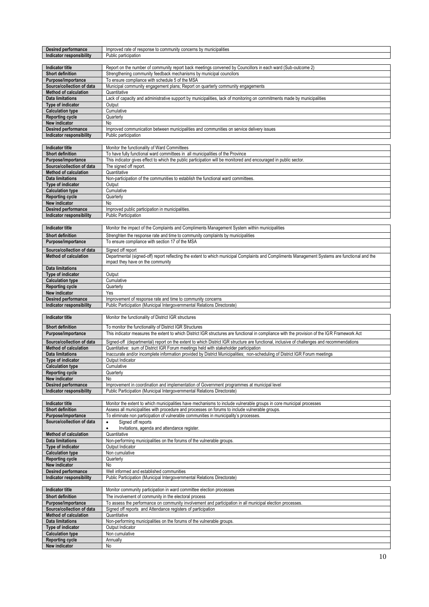| <b>Desired performance</b><br>Indicator responsibility |                                                                                                                                                |
|--------------------------------------------------------|------------------------------------------------------------------------------------------------------------------------------------------------|
|                                                        | Improved rate of response to community concerns by municipalities                                                                              |
|                                                        | Public participation                                                                                                                           |
|                                                        |                                                                                                                                                |
|                                                        |                                                                                                                                                |
| Indicator title                                        | Report on the number of community report back meetings convened by Councillors in each ward (Sub-outcome 2)                                    |
| Short definition                                       | Strengthening community feedback mechanisms by municipal councilors                                                                            |
| Purpose/importance                                     | To ensure compliance with schedule 5 of the MSA                                                                                                |
|                                                        |                                                                                                                                                |
| Source/collection of data                              | Municipal community engagement plans; Report on quarterly community engagements                                                                |
| <b>Method of calculation</b>                           | Quantitative                                                                                                                                   |
| <b>Data limitations</b>                                | Lack of capacity and administrative support by municipalities, lack of monitoring on commitments made by municipalities                        |
|                                                        |                                                                                                                                                |
| Type of indicator                                      | Output                                                                                                                                         |
| <b>Calculation type</b>                                | Cumulative                                                                                                                                     |
| <b>Reporting cycle</b>                                 | Quarterly                                                                                                                                      |
| New indicator                                          | No                                                                                                                                             |
|                                                        |                                                                                                                                                |
| <b>Desired performance</b>                             | Improved communication between municipalities and communities on service delivery issues                                                       |
| Indicator responsibility                               | Public participation                                                                                                                           |
|                                                        |                                                                                                                                                |
|                                                        |                                                                                                                                                |
| <b>Indicator title</b>                                 | Monitor the functionality of Ward Committees                                                                                                   |
| Short definition                                       | To have fully functional ward committees in all municipalities of the Province                                                                 |
| Purpose/importance                                     | This indicator gives effect to which the public participation will be monitored and encouraged in public sector.                               |
| Source/collection of data                              | The signed off report.                                                                                                                         |
|                                                        |                                                                                                                                                |
| <b>Method of calculation</b>                           | Quantitative                                                                                                                                   |
| <b>Data limitations</b>                                | Non-participation of the communities to establish the functional ward committees                                                               |
| Type of indicator                                      | Output                                                                                                                                         |
| <b>Calculation type</b>                                | Cumulative                                                                                                                                     |
|                                                        |                                                                                                                                                |
| <b>Reporting cycle</b>                                 | Quarterly                                                                                                                                      |
| New indicator                                          | No                                                                                                                                             |
| <b>Desired performance</b>                             | Improved public participation in municipalities.                                                                                               |
| Indicator responsibility                               | <b>Public Participation</b>                                                                                                                    |
|                                                        |                                                                                                                                                |
|                                                        |                                                                                                                                                |
| <b>Indicator title</b>                                 | Monitor the impact of the Complaints and Compliments Management System within municipalities                                                   |
| <b>Short definition</b>                                |                                                                                                                                                |
|                                                        | Strenghten the response rate and time to community complaints by municipalities                                                                |
| Purpose/importance                                     | To ensure compliance with section 17 of the MSA                                                                                                |
| Source/collection of data                              | Signed off report                                                                                                                              |
|                                                        |                                                                                                                                                |
| <b>Method of calculation</b>                           | Departmental (signed-off) report reflecting the extent to which municipal Complaints and Compliments Management Systems are functional and the |
|                                                        | impact they have on the community                                                                                                              |
| <b>Data limitations</b>                                |                                                                                                                                                |
|                                                        |                                                                                                                                                |
| Type of indicator                                      | Output                                                                                                                                         |
| <b>Calculation type</b>                                | Cumulative                                                                                                                                     |
| <b>Reporting cycle</b>                                 | Quarterly                                                                                                                                      |
| New indicator                                          | Yes                                                                                                                                            |
|                                                        |                                                                                                                                                |
| <b>Desired performance</b>                             | Improvement of response rate and time to community concerns                                                                                    |
| Indicator responsibility                               | Public Participation (Municipal Intergovernmental Relations Directorate)                                                                       |
|                                                        |                                                                                                                                                |
| <b>Indicator title</b>                                 | Monitor the functionality of District IGR structures                                                                                           |
|                                                        |                                                                                                                                                |
| <b>Short definition</b>                                | To monitor the functionality of District IGR Structures                                                                                        |
| Purpose/importance                                     | This indicator measures the extent to which District IGR structures are functional in compliance with the provision of the IGR Framework Act   |
|                                                        |                                                                                                                                                |
| Source/collection of data                              | Signed-off (departmental) report on the extent to which District IGR structure are functional, inclusive of challenges and recommendations     |
|                                                        |                                                                                                                                                |
|                                                        |                                                                                                                                                |
| Method of calculation                                  | Quantitative: sum of District IGR Forum meetings held with stakeholder participation                                                           |
| <b>Data limitations</b>                                | Inaccurate and/or incomplete information provided by District Municipalities; non-scheduling of District IGR Forum meetings                    |
| Type of indicator                                      | Output Indicator                                                                                                                               |
| <b>Calculation type</b>                                | Cumulative                                                                                                                                     |
|                                                        |                                                                                                                                                |
| <b>Reporting cycle</b>                                 | Quarterly                                                                                                                                      |
| New indicator                                          | No                                                                                                                                             |
| <b>Desired performance</b>                             | Improvement in coordination and implementation of Government programmes at municipal level                                                     |
| Indicator responsibility                               | Public Participation (Municipal Intergovernmental Relations Directorate)                                                                       |
|                                                        |                                                                                                                                                |
| <b>Indicator title</b>                                 | Monitor the extent to which municipalities have mechanisms to include vulnerable groups in core municipal processes                            |
|                                                        |                                                                                                                                                |
| <b>Short definition</b>                                | Assess all municipalities with procedure and processes on forums to include vulnerable groups.                                                 |
| Purpose/importance                                     | To eliminate non participation of vulnerable communities in municipality's processes.                                                          |
| Source/collection of data                              | Signed off reports<br>$\bullet$                                                                                                                |
|                                                        | Invitations, agenda and attendance register.                                                                                                   |
| <b>Method of calculation</b>                           | Quantitative                                                                                                                                   |
| <b>Data limitations</b>                                |                                                                                                                                                |
|                                                        | Non-performing municipalities on the forums of the vulnerable groups                                                                           |
| Type of indicator                                      | Output Indicator                                                                                                                               |
| <b>Calculation type</b>                                | Non cumulative                                                                                                                                 |
| <b>Reporting cycle</b>                                 | Quarterly                                                                                                                                      |
| New indicator                                          | No                                                                                                                                             |
|                                                        |                                                                                                                                                |
| <b>Desired performance</b>                             | Well informed and established communities                                                                                                      |
| Indicator responsibility                               | Public Participation (Municipal Intergovernmental Relations Directorate)                                                                       |
|                                                        |                                                                                                                                                |
| <b>Indicator title</b>                                 | Monitor community participation in ward committee election processes                                                                           |
|                                                        |                                                                                                                                                |
| <b>Short definition</b>                                | The involvement of community in the electoral process                                                                                          |
| Purpose/importance                                     | To assess the performance on community involvement and participation in all municipal election processes.                                      |
| Source/collection of data                              | Signed off reports and Attendance registers of participation                                                                                   |
| <b>Method of calculation</b>                           | Quantitative                                                                                                                                   |
|                                                        |                                                                                                                                                |
| <b>Data limitations</b>                                | Non-performing municipalities on the forums of the vulnerable groups.                                                                          |
| <b>Type of indicator</b>                               | Output Indicator                                                                                                                               |
| <b>Calculation type</b>                                | Non cumulative                                                                                                                                 |
| <b>Reporting cycle</b>                                 | Annually                                                                                                                                       |
| New indicator                                          | No                                                                                                                                             |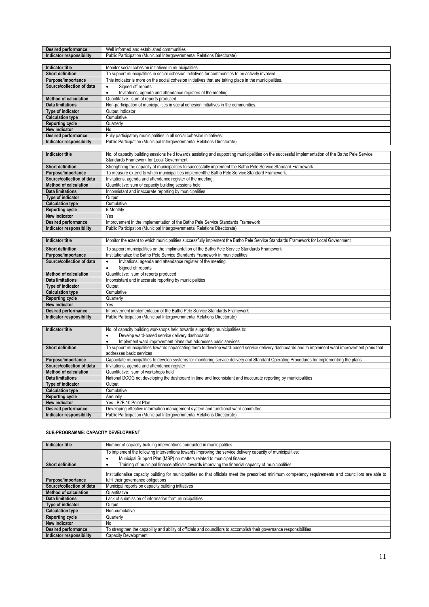| <b>Desired performance</b>      | Well informed and established communities                                                                                                         |
|---------------------------------|---------------------------------------------------------------------------------------------------------------------------------------------------|
| <b>Indicator responsibility</b> | Public Participation (Municipal Intergovernmental Relations Directorate)                                                                          |
|                                 |                                                                                                                                                   |
| Indicator title                 | Monitor social cohesion initiatives in municipalities                                                                                             |
| <b>Short definition</b>         | To support municipalities in social cohesion initiatives for communities to be actively involved.                                                 |
| Purpose/importance              | This indicator is more on the social cohesion initiatives that are taking place in the municipalities.                                            |
| Source/collection of data       | Signed off reports                                                                                                                                |
|                                 | Invitations, agenda and attendance registers of the meeting.                                                                                      |
| <b>Method of calculation</b>    | Quantitative: sum of reports produced                                                                                                             |
| <b>Data limitations</b>         | Non-participation of municipalities in social cohesion initiatives in the communities.                                                            |
| Type of indicator               | Output Indicator                                                                                                                                  |
| <b>Calculation type</b>         | Cumulative                                                                                                                                        |
| <b>Reporting cycle</b>          | Quarterly                                                                                                                                         |
| New indicator                   | No                                                                                                                                                |
| Desired performance             | Fully participatory municipalities in all social cohesion initiatives.                                                                            |
| Indicator responsibility        | Public Participation (Municipal Intergovernmental Relations Directorate)                                                                          |
|                                 |                                                                                                                                                   |
| Indicator title                 | No. of capacity building sessions held towards assisting and supporting municipalities on the successful implementation of the Batho Pele Service |

| 1119168191 LILIC          | no. Or capacity bullully sessions held towards assisting and supporting municipalities on the successiti implementation or the Datho Fele Oervice<br>Standards Framework for Local Government |
|---------------------------|-----------------------------------------------------------------------------------------------------------------------------------------------------------------------------------------------|
| <b>Short definition</b>   | Strenghning the capacity of municipalities to successfully implement the Batho Pele Service Standard Framework                                                                                |
| Purpose/importance        | To measure extend to which municipalities implementthe Batho Pele Service Standard Framework.                                                                                                 |
| Source/collection of data | Invitations, agenda and attendance register of the meeting.                                                                                                                                   |
| Method of calculation     | Quantitative: sum of capacity building sessions held                                                                                                                                          |
| Data limitations          | Inconsistant and inaccurate reporting by municipalities                                                                                                                                       |
| Type of indicator         | Output                                                                                                                                                                                        |
| <b>Calculation type</b>   | Cumulative                                                                                                                                                                                    |
| <b>Reporting cycle</b>    | 6-Monthly                                                                                                                                                                                     |
| New indicator             | Yes                                                                                                                                                                                           |
| Desired performance       | Improvement in the implementation of the Batho Pele Service Standards Framework                                                                                                               |
| Indicator responsibility  | Public Participation (Municipal Intergovernmental Relations Directorate)                                                                                                                      |

| Indicator title              | Monitor the extent to which municipalities successfully implement the Batho Pele Service Standards Framework for Local Government |
|------------------------------|-----------------------------------------------------------------------------------------------------------------------------------|
| <b>Short definition</b>      | To support municipalities on the implimantation of the Batho Pele Service Standards Framework                                     |
| Purpose/importance           | Institutionalize the Batho Pele Service Standards Framework in municipalities                                                     |
| Source/collection of data    | Invitations, agenda and attendance register of the meeting.                                                                       |
|                              | Signed off reports                                                                                                                |
| <b>Method of calculation</b> | Quantitative: sum of reports produced                                                                                             |
| <b>Data limitations</b>      | Inconsistant and inaccurate reporting by municipalities                                                                           |
| Type of indicator            | Output                                                                                                                            |
| <b>Calculation type</b>      | Cumulative                                                                                                                        |
| <b>Reporting cycle</b>       | Quarterly                                                                                                                         |
| New indicator                | Yes                                                                                                                               |
| <b>Desired performance</b>   | Improvement implementation of the Batho Pele Service Standards Framework                                                          |
| Indicator responsibility     | Public Participation (Municipal Intergovernmental Relations Directorate)                                                          |
|                              |                                                                                                                                   |

| Indicator title              | No. of capacity building workshops held towards supporting municipalities to:                                                                      |
|------------------------------|----------------------------------------------------------------------------------------------------------------------------------------------------|
|                              | Develop ward-based service delivery dashboards                                                                                                     |
|                              | Implement ward improvement plans that addresses basic services<br>٠                                                                                |
| <b>Short definition</b>      | To support municipalities towards capacitating them to develop ward-based service delivery dashboards and to implement ward improvement plans that |
|                              | addresses basic services                                                                                                                           |
| Purpose/importance           | Capacitate municipalities to develop systems for monitoring service delivery and Standard Operating Procedures for implementing the plans          |
| Source/collection of data    | Invitations, agenda and attendance register                                                                                                        |
| <b>Method of calculation</b> | Quantitative: sum of workshops held                                                                                                                |
| Data limitations             | National DCOG not developing the dashboard in time and Inconsistant and inaccurate reporting by municipalities                                     |
| Type of indicator            | Output                                                                                                                                             |
| <b>Calculation type</b>      | Cumulative                                                                                                                                         |
| <b>Reporting cycle</b>       | Annually                                                                                                                                           |
| New indicator                | Yes - B2B 10 Point Plan                                                                                                                            |
| <b>Desired performance</b>   | Developing effective information management system and functional ward committee                                                                   |
| Indicator responsibility     | Public Participation (Municipal Intergovernmental Relations Directorate)                                                                           |
|                              |                                                                                                                                                    |

#### **SUB-PROGRAMME: CAPACITY DEVELOPMENT**

| <b>Indicator title</b>       | Number of capacity building interventions conducted in municipalities                                                                                   |
|------------------------------|---------------------------------------------------------------------------------------------------------------------------------------------------------|
|                              | To implement the following interventions towards improving the service delivery capacity of municipalities:                                             |
|                              | Municipal Support Plan (MSP) on matters related to municipal finance                                                                                    |
| <b>Short definition</b>      | Training of municipal finance officials towards improving the financial capacity of municipalities                                                      |
|                              | Institutionalise capacity building for municipalities so that officials meet the prescribed minimum competency requirements and councillors are able to |
| Purpose/importance           | fulfil their governance obligations                                                                                                                     |
| Source/collection of data    | Municipal reports on capacity building initiatives                                                                                                      |
| <b>Method of calculation</b> | Quantitative                                                                                                                                            |
| <b>Data limitations</b>      | Lack of submission of information from municipalities                                                                                                   |
| <b>Type of indicator</b>     | Output                                                                                                                                                  |
| <b>Calculation type</b>      | Non-cumulative                                                                                                                                          |
| <b>Reporting cycle</b>       | Quarterly                                                                                                                                               |
| New indicator                | No                                                                                                                                                      |
| <b>Desired performance</b>   | To strengthen the capability and ability of officials and councillors to accomplish their governance responsibilities                                   |
| Indicator responsibility     | <b>Capacity Development</b>                                                                                                                             |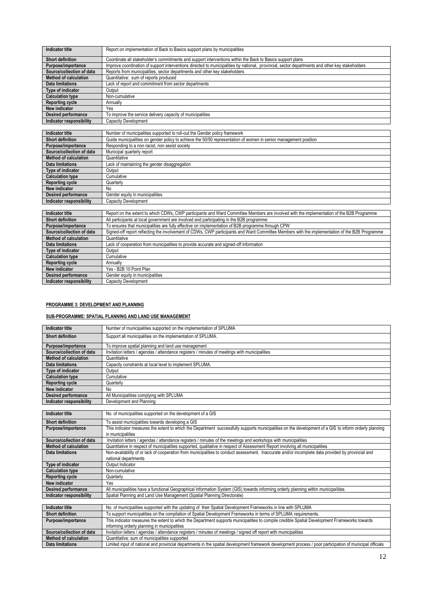| Indicator title              | Report on implementation of Back to Basics support plans by municipalities                                                                      |
|------------------------------|-------------------------------------------------------------------------------------------------------------------------------------------------|
| <b>Short definition</b>      | Coordinate all stakeholder's commitments and support interventions within the Back to Basics support plans                                      |
| Purpose/importance           | Improve coordination of support interventions directed to municipalities by national, provincial, sector departments and other key stakeholders |
| Source/collection of data    | Reports from municipalities, sector departments and other key stakeholders                                                                      |
| <b>Method of calculation</b> | Quantitative: sum of reports produced                                                                                                           |
| Data limitations             | Lack of report and commitment from sector departments                                                                                           |
| Type of indicator            | Output                                                                                                                                          |
| <b>Calculation type</b>      | Non-cumulative                                                                                                                                  |
| <b>Reporting cycle</b>       | Annually                                                                                                                                        |
| New indicator                | Yes                                                                                                                                             |
| <b>Desired performance</b>   | To improve the service delivery capacity of municipalities                                                                                      |
| Indicator responsibility     | Capacity Development                                                                                                                            |
|                              |                                                                                                                                                 |
| Indicator titlo              | Number of municipalities supported to roll out the Conder policy framework                                                                      |

| Indicator title            | Number of municipalities supported to roll-out the Gender policy framework                                       |
|----------------------------|------------------------------------------------------------------------------------------------------------------|
| <b>Short definition</b>    | Guide municipalities on gender policy to achieve the 50/50 representation of women in senior management position |
| Purpose/importance         | Responding to a non racist, non sexist society                                                                   |
| Source/collection of data  | Municipal quarterly report                                                                                       |
| Method of calculation      | Quantitative                                                                                                     |
| Data limitations           | Lack of maintaining the gender disaggregation                                                                    |
| Type of indicator          | Output                                                                                                           |
| <b>Calculation type</b>    | Cumulative                                                                                                       |
| <b>Reporting cycle</b>     | Quarterly                                                                                                        |
| New indicator              | No.                                                                                                              |
| <b>Desired performance</b> | Gender equity in municipalities                                                                                  |
| Indicator responsibility   | <b>Capacity Development</b>                                                                                      |

| Indicator title           | Report on the extent to which CDWs, CWP participants and Ward Committee Members are involved with the implementation of the B2B Programme      |
|---------------------------|------------------------------------------------------------------------------------------------------------------------------------------------|
| Short definition          | All participants at local government are involved and participating in the B2B programme                                                       |
| Purpose/importance        | To ensures that municipalities are fully effective on implementation of B2B programme through CPW                                              |
| Source/collection of data | Signed-off report reflecting the involvement of CDWs, CWP participants and Ward Committee Members with the implementation of the B2B Programme |
| Method of calculation     | Quantitative                                                                                                                                   |
| Data limitations          | Lack of cooperation from municipalities to provide accurate and signed-off information                                                         |
| Type of indicator         | Output                                                                                                                                         |
| <b>Calculation type</b>   | Cumulative                                                                                                                                     |
| <b>Reporting cycle</b>    | Annually                                                                                                                                       |
| New indicator             | Yes - B2B 10 Point Plan                                                                                                                        |
| Desired performance       | Gender equity in municipalities                                                                                                                |
| Indicator responsibility  | <b>Capacity Development</b>                                                                                                                    |

# **PROGRAMME 3: DEVELOPMENT AND PLANNING**

## **SUB-PROGRAMME: SPATIAL PLANNING AND LAND USE MANAGEMENT**

| Indicator title                 | Number of municipalities supported on the implementation of SPLUMA                            |
|---------------------------------|-----------------------------------------------------------------------------------------------|
| <b>Short definition</b>         | Support all municipalities on the implementation of SPLUMA.                                   |
| Purpose/importance              | To improve spatial planning and land use management                                           |
| Source/collection of data       | Invitation letters / agendas / attendance registers / minutes of meetings with municipalities |
| <b>Method of calculation</b>    | Quantitative                                                                                  |
| <b>Data limitations</b>         | Capacity constraints at local level to implement SPLUMA.                                      |
| Type of indicator               | Output                                                                                        |
| <b>Calculation type</b>         | Cumulative                                                                                    |
| <b>Reporting cycle</b>          | Quarterly                                                                                     |
| New indicator                   | No                                                                                            |
| <b>Desired performance</b>      | All Municipalities complying with SPLUMA                                                      |
| <b>Indicator responsibility</b> | Development and Planning                                                                      |
|                                 |                                                                                               |

| <b>Indicator title</b>       | No. of municipalities supported on the development of a GIS                                                                                            |
|------------------------------|--------------------------------------------------------------------------------------------------------------------------------------------------------|
| <b>Short definition</b>      | To assist municipalities towards developing a GIS                                                                                                      |
| Purpose/importance           | This indicator measures the extent to which the Department successfully supports municipalities on the development of a GIS to inform orderly planning |
|                              | in municipalities                                                                                                                                      |
| Source/collection of data    | Invitation letters / agendas / attendance registers / minutes of the meetings and workshops with municipalities                                        |
| <b>Method of calculation</b> | Quantitative in respect of municipalities supported, qualitative in respect of Assessment Report involving all municipalities                          |
| Data limitations             | Non-availability of or lack of cooperation from municipalities to conduct assessment. Inaccurate and/or incomplete data provided by provincial and     |
|                              | national departments                                                                                                                                   |
| Type of indicator            | Output Indicator                                                                                                                                       |
| <b>Calculation type</b>      | Non-cumulative                                                                                                                                         |
| <b>Reporting cycle</b>       | Quarterly                                                                                                                                              |
| New indicator                | Yes                                                                                                                                                    |
| <b>Desired performance</b>   | All municipalities have a functional Geographical Information System (GIS) towards informing orderly planning within municipalities                    |
| Indicator responsibility     | Spatial Planning and Land Use Management (Spatial Planning Directorate)                                                                                |

| Indicator title           | No. of municipalities supported with the updating of their Spatial Development Frameworks in line with SPLUMA                                             |
|---------------------------|-----------------------------------------------------------------------------------------------------------------------------------------------------------|
| <b>Short definition</b>   | To support municipalities on the compilation of Spatial Development Frameworks in terms of SPLUMA requirements.                                           |
| Purpose/importance        | This indicator measures the extent to which the Department supports municipalities to compile credible Spatial Development Frameworks towards             |
|                           | informing orderly planning in municipalities                                                                                                              |
| Source/collection of data | Invitation letters / agendas / attendance registers / minutes of meetings / signed off report with municipalities                                         |
| Method of calculation     | Quantitative: sum of municipalities supported                                                                                                             |
| Data limitations          | Limited input of national and provincial departments in the spatial development framework development process / poor participation of municipal officials |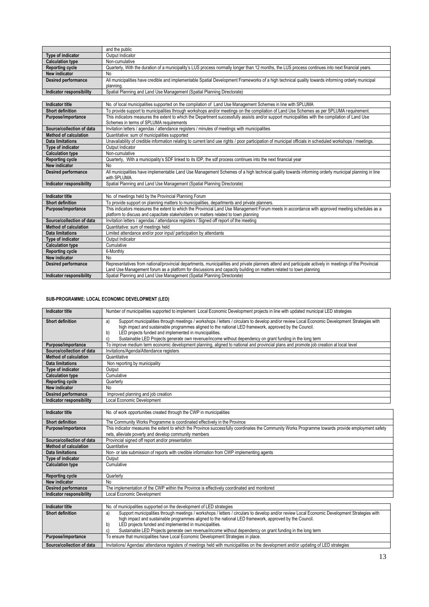|                              | and the public                                                                                                                                                     |
|------------------------------|--------------------------------------------------------------------------------------------------------------------------------------------------------------------|
| Type of indicator            | Output Indicator                                                                                                                                                   |
| <b>Calculation type</b>      | Non-cumulative                                                                                                                                                     |
| <b>Reporting cycle</b>       | Quarterly, With the duration of a municipality's LUS process normally longer than 12 months, the LUS process continues into next financial years.                  |
| New indicator                | No                                                                                                                                                                 |
| <b>Desired performance</b>   | All municipalities have credible and implementable Spatial Development Frameworks of a high technical quality towards informing orderly municipal<br>planning.     |
| Indicator responsibility     | Spatial Planning and Land Use Management (Spatial Planning Directorate)                                                                                            |
|                              |                                                                                                                                                                    |
| <b>Indicator title</b>       | No. of local municipalities supported on the compilation of Land Use Management Schemes in line with SPLUMA                                                        |
| <b>Short definition</b>      | To provide support to municipalities through workshops and/or meetings on the compilation of Land Use Schemes as per SPLUMA requirement.                           |
| Purpose/importance           | This indicators measures the extent to which the Department successfully assists and/or support municipalities with the compilation of Land Use                    |
|                              | Schemes in terms of SPLUMA requirements                                                                                                                            |
| Source/collection of data    | Invitation letters / agendas / attendance registers / minutes of meetings with municipalities                                                                      |
| <b>Method of calculation</b> | Quantitative: sum of municipalities supported                                                                                                                      |
| <b>Data limitations</b>      | Unavailability of credible information relating to current land use rights / poor participation of municipal officials in scheduled workshops / meetings.          |
| Type of indicator            | Output Indicator                                                                                                                                                   |
| <b>Calculation type</b>      | Non-cumulative                                                                                                                                                     |
| <b>Reporting cycle</b>       | Quarterly, With a municipality's SDF linked to its IDP, the sdf process continues into the next financial year                                                     |
| New indicator                | No                                                                                                                                                                 |
| <b>Desired performance</b>   | All municipalities have implementable Land Use Management Schemes of a high technical quality towards informing orderly municipal planning in line<br>with SPLUMA. |
| Indicator responsibility     | Spatial Planning and Land Use Management (Spatial Planning Directorate)                                                                                            |
|                              |                                                                                                                                                                    |
| <b>Indicator title</b>       | No. of meetings held by the Provincial Planning Forum                                                                                                              |
| <b>Short definition</b>      | To provide support on planning matters to municipalities, departments and private planners.                                                                        |
| Purpose/importance           | This indicators measures the extent to which the Provincial Land Use Management Forum meets in accordance with approved meeting schedules as a                     |
|                              | platform to discuss and capacitate stakeholders on matters related to town planning                                                                                |
| Source/collection of data    | Invitation letters / agendas / attendance registers / Signed off report of the meeting                                                                             |
| <b>Method of calculation</b> | Quantitative: sum of meetings held                                                                                                                                 |
| <b>Data limitations</b>      | Limited attendance and/or poor input/ participation by attendants                                                                                                  |
| Type of indicator            | Output Indicator                                                                                                                                                   |
| <b>Calculation type</b>      | Cumulative                                                                                                                                                         |
| <b>Reporting cycle</b>       | 6-Monthly                                                                                                                                                          |
| New indicator                | No                                                                                                                                                                 |
| <b>Desired performance</b>   | Representatives from national/provincial departments, municipalities and private planners attend and participate actively in meetings of the Provincial            |
|                              | Land Use Management forum as a platform for discussions and capacity building on matters related to town planning                                                  |
| Indicator responsibility     | Spatial Planning and Land Use Management (Spatial Planning Directorate)                                                                                            |

# **SUB-PROGRAMME: LOCAL ECONOMIC DEVELOPMENT (LED)**

| Indicator title                    | Number of municipalities supported to implement Local Economic Development projects in line with updated municipal LED strategies                   |
|------------------------------------|-----------------------------------------------------------------------------------------------------------------------------------------------------|
| <b>Short definition</b>            | Support municipalities through meetings / workshops / letters / circulars to develop and/or review Local Economic Development Strategies with<br>a) |
|                                    | high impact and sustainable programmes aligned to the national LED framework, approved by the Council.                                              |
|                                    | LED projects funded and implemented in municipalities.<br>b)                                                                                        |
|                                    | Sustainable LED Projects generate own revenue/income without dependency on grant funding in the long term<br>C)                                     |
| Purpose/importance                 | To improve medium term economic development planning, aligned to national and provincial plans and promote job creation at local level              |
| Source/collection of data          | Invitations/Agenda/Attendance registers                                                                                                             |
| <b>Method of calculation</b>       | Quantitative                                                                                                                                        |
| Data limitations                   | Non reporting by municipality                                                                                                                       |
| Type of indicator                  | Output                                                                                                                                              |
| <b>Calculation type</b>            | Cumulative                                                                                                                                          |
| <b>Reporting cycle</b>             | Quarterly                                                                                                                                           |
| New indicator                      | No                                                                                                                                                  |
| Desired performance                | Improved planning and job creation                                                                                                                  |
| Indicator responsibility           | Local Economic Development                                                                                                                          |
|                                    |                                                                                                                                                     |
| <b>Indicator title</b>             | No. of work opportunities created through the CWP in municipalities                                                                                 |
| $\sim$ $\sim$ $\sim$ $\sim$ $\sim$ |                                                                                                                                                     |

| <b>Short definition</b>      | The Community Works Programme is coordinated effectively in the Province                                                                          |
|------------------------------|---------------------------------------------------------------------------------------------------------------------------------------------------|
| Purpose/importance           | This indicator measures the extent to which the Province successfully coordinates the Community Works Programme towards provide employment safety |
|                              | nets, alleviate poverty and develop community members                                                                                             |
| Source/collection of data    | Provincial signed off report and/or presentation                                                                                                  |
| <b>Method of calculation</b> | Quantitative                                                                                                                                      |
| Data limitations             | Non- or late submission of reports with credible information from CWP implementing agents                                                         |
| Type of indicator            | Output                                                                                                                                            |
| <b>Calculation type</b>      | Cumulative                                                                                                                                        |
|                              |                                                                                                                                                   |
| <b>Reporting cycle</b>       | Quarterly                                                                                                                                         |
| New indicator                | No.                                                                                                                                               |
| <b>Desired performance</b>   | The implementation of the CWP within the Province is effectively coordinated and monitored                                                        |
| Indicator responsibility     | Local Economic Development                                                                                                                        |
|                              |                                                                                                                                                   |

| Indicator title           | No. of municipalities supported on the development of LED strategies                                                                                                                                                                                                                                                                                                                                                                            |
|---------------------------|-------------------------------------------------------------------------------------------------------------------------------------------------------------------------------------------------------------------------------------------------------------------------------------------------------------------------------------------------------------------------------------------------------------------------------------------------|
| <b>Short definition</b>   | Support municipalities through meetings / workshops / letters / circulars to develop and/or review Local Economic Development Strategies with<br>al<br>high impact and sustainable programmes aligned to the national LED framework, approved by the Council.<br>LED projects funded and implemented in municipalities.<br>b<br>Sustainable LED Projects generate own revenue/income without dependency on grant funding in the long term<br>C) |
| Purpose/importance        | To ensure that municipalities have Local Economic Development Strategies in place.                                                                                                                                                                                                                                                                                                                                                              |
| Source/collection of data | Invitations/Agendas/attendance registers of meetings held with municipalities on the development and/or updating of LED strategies                                                                                                                                                                                                                                                                                                              |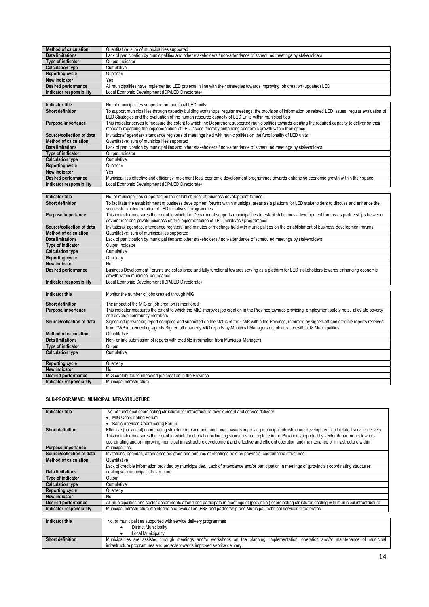| <b>Method of calculation</b> | Quantitative: sum of municipalities supported                                                                                                                                                                                                                       |
|------------------------------|---------------------------------------------------------------------------------------------------------------------------------------------------------------------------------------------------------------------------------------------------------------------|
| <b>Data limitations</b>      | Lack of participation by municipalities and other stakeholders / non-attendance of scheduled meetings by stakeholders.                                                                                                                                              |
| Type of indicator            | Output Indicator                                                                                                                                                                                                                                                    |
| <b>Calculation type</b>      | Cumulative                                                                                                                                                                                                                                                          |
| <b>Reporting cycle</b>       | Quarterly                                                                                                                                                                                                                                                           |
| New indicator                | Yes                                                                                                                                                                                                                                                                 |
| <b>Desired performance</b>   | All municipalities have implemented LED projects in line with their strategies towards improving job creation (updated) LED                                                                                                                                         |
| Indicator responsibility     | Local Economic Development (IDP/LED Directorate)                                                                                                                                                                                                                    |
|                              |                                                                                                                                                                                                                                                                     |
| <b>Indicator title</b>       | No. of municipalities supported on functional LED units                                                                                                                                                                                                             |
| <b>Short definition</b>      | To support municipalities through capacity building workshops, regular meetings, the provision of information on related LED issues, regular evaluation of<br>LED Strategies and the evaluation of the human resource capacity of LED Units within municipalities   |
| Purpose/importance           | This indicator serves to measure the extent to which the Department supported municipalities towards creating the required capacity to deliver on their<br>mandate regarding the implementation of LED issues, thereby enhancing economic growth within their space |
| Source/collection of data    | Invitations/ agendas/ attendance registers of meetings held with municipalities on the functionality of LED units                                                                                                                                                   |
| <b>Method of calculation</b> | Quantitative: sum of municipalities supported                                                                                                                                                                                                                       |
| Data limitations             | Lack of participation by municipalities and other stakeholders / non-attendance of scheduled meetings by stakeholders.                                                                                                                                              |
| Type of indicator            | Output Indicator                                                                                                                                                                                                                                                    |
| <b>Calculation type</b>      | Cumulative                                                                                                                                                                                                                                                          |
| <b>Reporting cycle</b>       | Quarterly                                                                                                                                                                                                                                                           |
| New indicator                | Yes                                                                                                                                                                                                                                                                 |
| <b>Desired performance</b>   | Municipalities effective and efficiently implement local economic development programmes towards enhancing economic growth within their space                                                                                                                       |
| Indicator responsibility     | Local Economic Development (IDP/LED Directorate)                                                                                                                                                                                                                    |
|                              |                                                                                                                                                                                                                                                                     |
| <b>Indicator title</b>       | No. of municipalities supported on the establishment of business development forums                                                                                                                                                                                 |

| Indicator title              | No. of municipalities supported on the establishment of business development forums                                                                 |
|------------------------------|-----------------------------------------------------------------------------------------------------------------------------------------------------|
| <b>Short definition</b>      | To facilitate the establishment of business development forums within municipal areas as a platform for LED stakeholders to discuss and enhance the |
|                              | successful implementation of LED initiatives / programmes                                                                                           |
| Purpose/importance           | This indicator measures the extent to which the Department supports municipalities to establish business development forums as partnerships between |
|                              | government and private business on the implementation of LED initiatives / programmes                                                               |
| Source/collection of data    | Invitations, agendas, attendance registers and minutes of meetings held with municipalities on the establishment of business development forums     |
| <b>Method of calculation</b> | Quantitative: sum of municipalities supported                                                                                                       |
| <b>Data limitations</b>      | Lack of participation by municipalities and other stakeholders / non-attendance of scheduled meetings by stakeholders.                              |
| Type of indicator            | Output Indicator                                                                                                                                    |
| <b>Calculation type</b>      | Cumulative                                                                                                                                          |
| <b>Reporting cycle</b>       | Quarterly                                                                                                                                           |
| New indicator                | No                                                                                                                                                  |
| Desired performance          | Business Development Forums are established and fully functional towards serving as a platform for LED stakeholders towards enhancing economic      |
|                              | growth within municipal boundaries                                                                                                                  |
| Indicator responsibility     | Local Economic Development (IDP/LED Directorate)                                                                                                    |

| Indicator title              | Monitor the number of jobs created through MIG                                                                                                           |
|------------------------------|----------------------------------------------------------------------------------------------------------------------------------------------------------|
|                              |                                                                                                                                                          |
| <b>Short definition</b>      | The impact of the MIG on job creation is monitored                                                                                                       |
| Purpose/importance           | This indicator measures the extent to which the MIG improves job creation in the Province towards providing employment safety nets, alleviate poverty    |
|                              | and develop community members                                                                                                                            |
| Source/collection of data    | Signed-off (provincial) report compiled and submitted on the status of the CWP within the Province, informed by signed-off and credible reports received |
|                              | from CWP implementing agents/Signed off guarterly MIG reports by Municipal Managers on job creation within 18 Municipalities                             |
| <b>Method of calculation</b> | Quantitative                                                                                                                                             |
| <b>Data limitations</b>      | Non- or late submission of reports with credible information from Municipal Managers                                                                     |
| Type of indicator            | Output                                                                                                                                                   |
| <b>Calculation type</b>      | Cumulative                                                                                                                                               |
|                              |                                                                                                                                                          |
| <b>Reporting cycle</b>       | Quarterly                                                                                                                                                |
| New indicator                | No                                                                                                                                                       |
| <b>Desired performance</b>   | MIG contributes to improved job creation in the Province                                                                                                 |
| Indicator responsibility     | Municipal Infrastructure.                                                                                                                                |

## **SUB-PROGRAMME: MUNICIPAL INFRASTRUCTURE**

| <b>Indicator title</b>       | No. of functional coordinating structures for infrastructure development and service delivery:                                                             |
|------------------------------|------------------------------------------------------------------------------------------------------------------------------------------------------------|
|                              | <b>MIG Coordinating Forum</b><br>٠                                                                                                                         |
|                              | Basic Services Coordinating Forum                                                                                                                          |
| <b>Short definition</b>      | Effective (provincial) coordinating structure in place and functional towards improving municipal infrastructure development and related service delivery  |
|                              | This indicator measures the extent to which functional coordinating structures are in place in the Province supported by sector departments towards        |
|                              | coordinating and/or improving municipal infrastructure development and effective and efficient operation and maintenance of infrastructure within          |
| Purpose/importance           | municipalities.                                                                                                                                            |
| Source/collection of data    | Invitations, agendas, attendance registers and minutes of meetings held by provincial coordinating structures.                                             |
| <b>Method of calculation</b> | Quantitative                                                                                                                                               |
|                              | Lack of credible information provided by municipalities. Lack of attendance and/or participation in meetings of (provincial) coordinating structures       |
| <b>Data limitations</b>      | dealing with municipal infrastructure                                                                                                                      |
| Type of indicator            | Output                                                                                                                                                     |
| <b>Calculation type</b>      | Cumulative                                                                                                                                                 |
| <b>Reporting cycle</b>       | Quarterly                                                                                                                                                  |
| New indicator                | No                                                                                                                                                         |
| Desired performance          | All municipalities and sector departments attend and participate in meetings of (provincial) coordinating structures dealing with municipal infrastructure |
| Indicator responsibility     | Municipal Infrastructure monitoring and evaluation, FBS and partnership and Municipal technical services directorates.                                     |
|                              |                                                                                                                                                            |
| <b>Indicator title</b>       | No. of municipalities supported with service delivery programmes                                                                                           |
|                              | <b>District Municipality</b>                                                                                                                               |
|                              | the seath Marcel also without                                                                                                                              |

|                         | , Municipality<br>∟ocal                                                                                                                                                               |
|-------------------------|---------------------------------------------------------------------------------------------------------------------------------------------------------------------------------------|
| <b>Short definition</b> | maintenance<br>municipa<br>through<br>meetings<br>and/or<br>and/oi<br>planning.<br>implementation.<br>operation<br><b>Municipalities</b><br>are<br>assisted<br>workshops<br>the<br>on |
|                         | infrastructure programmes and projects towards improved service delivery                                                                                                              |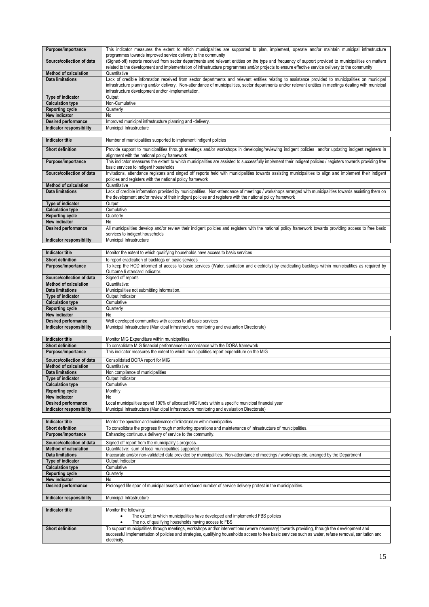| Purpose/importance              | This indicator measures the extent to which municipalities are supported to plan, implement, operate and/or maintain municipal infrastructure<br>programmes towards improved service delivery to the community                                                                                                                                                        |
|---------------------------------|-----------------------------------------------------------------------------------------------------------------------------------------------------------------------------------------------------------------------------------------------------------------------------------------------------------------------------------------------------------------------|
| Source/collection of data       | (Signed-off) reports received from sector departments and relevant entities on the type and frequency of support provided to municipalities on matters<br>related to the development and implementation of infrastructure programmes and/or projects to ensure effective service delivery to the community                                                            |
| <b>Method of calculation</b>    | Quantitative                                                                                                                                                                                                                                                                                                                                                          |
| Data limitations                | Lack of credible information received from sector departments and relevant entities relating to assistance provided to municipalities on municipal<br>infrastructure planning and/or delivery. Non-attendance of municipalities, sector departments and/or relevant entities in meetings dealing with municipal<br>infrastructure development and/or -implementation. |
| Type of indicator               | Output                                                                                                                                                                                                                                                                                                                                                                |
| <b>Calculation type</b>         | Non-Cumulative                                                                                                                                                                                                                                                                                                                                                        |
| <b>Reporting cycle</b>          | Quarterly                                                                                                                                                                                                                                                                                                                                                             |
| New indicator                   | No.                                                                                                                                                                                                                                                                                                                                                                   |
| Desired performance             | Improved municipal infrastructure planning and -delivery.                                                                                                                                                                                                                                                                                                             |
| <b>Indicator responsibility</b> | Municipal Infrastructure                                                                                                                                                                                                                                                                                                                                              |

| <b>Indicator title</b>       | Number of municipalities supported to implement indigent policies                                                                                                                                   |
|------------------------------|-----------------------------------------------------------------------------------------------------------------------------------------------------------------------------------------------------|
| <b>Short definition</b>      | Provide support to municipalities through meetings and/or workshops in developing/reviewing indigent policies and/or updating indigent registers in<br>alignment with the national policy framework |
|                              |                                                                                                                                                                                                     |
| Purpose/importance           | This indicator measures the extent to which municipalities are assisted to successfully implement their indigent policies / registers towards providing free                                        |
|                              | basic services to indigent households                                                                                                                                                               |
| Source/collection of data    | Invitations, attendance registers and singed off reports held with municipalities towards assisting municipalities to align and implement their indigent                                            |
|                              |                                                                                                                                                                                                     |
|                              | policies and registers with the national policy framework                                                                                                                                           |
| <b>Method of calculation</b> | Quantitative                                                                                                                                                                                        |
| <b>Data limitations</b>      | Lack of credible information provided by municipalities. Non-attendance of meetings / workshops arranged with municipalities towards assisting them on                                              |
|                              | the development and/or review of their indigent policies and registers with the national policy framework                                                                                           |
| <b>Type of indicator</b>     | Output                                                                                                                                                                                              |
| <b>Calculation type</b>      | Cumulative                                                                                                                                                                                          |
| <b>Reporting cycle</b>       | Quarterly                                                                                                                                                                                           |
| New indicator                | No                                                                                                                                                                                                  |
| <b>Desired performance</b>   | All municipalities develop and/or review their indigent policies and registers with the national policy framework towards providing access to free basic                                            |
|                              | services to indigent households                                                                                                                                                                     |
| Indicator responsibility     | Municipal Infrastructure                                                                                                                                                                            |

| <b>Indicator title</b>       | Monitor the extent to which qualifying households have access to basic services                                                                       |
|------------------------------|-------------------------------------------------------------------------------------------------------------------------------------------------------|
| <b>Short definition</b>      | to report eradication of backlogs on basic services                                                                                                   |
| Purpose/importance           | To keep the HOD informed of access to basic services (Water, sanitation and electricity) by eradicating backlogs within municipalities as required by |
|                              | Outcome 9 standard indicator.                                                                                                                         |
| Source/collection of data    | Signed off reports                                                                                                                                    |
| <b>Method of calculation</b> | Quantitative:                                                                                                                                         |
| Data limitations             | Municipalities not submitting information.                                                                                                            |
| Type of indicator            | Output Indicator                                                                                                                                      |
| <b>Calculation type</b>      | Cumulative                                                                                                                                            |
| <b>Reporting cycle</b>       | Quarterly                                                                                                                                             |
| <b>New indicator</b>         | No.                                                                                                                                                   |
| <b>Desired performance</b>   | Well developed communities with access to all basic services                                                                                          |
| Indicator responsibility     | Municipal Infrastructure (Municipal Infrastructure monitoring and evaluation Directorate)                                                             |
|                              |                                                                                                                                                       |

| <b>Indicator title</b>       | Monitor MIG Expenditure within municipalities                                                     |
|------------------------------|---------------------------------------------------------------------------------------------------|
| <b>Short definition</b>      | To consolidate MIG financial performance in accordance with the DORA framework                    |
| Purpose/importance           | This indicator measures the extent to which municipalities report expenditure on the MIG          |
| Source/collection of data    | Consolidated DORA report for MIG                                                                  |
| <b>Method of calculation</b> | Quantitative:                                                                                     |
| Data limitations             | Non compliance of municipalities                                                                  |
| Type of indicator            | Output Indicator                                                                                  |
| <b>Calculation type</b>      | Cumulative                                                                                        |
| <b>Reporting cycle</b>       | Monthly                                                                                           |
| New indicator                | No                                                                                                |
| Desired performance          | Local municipalities spend 100% of allocated MIG funds within a specific municipal financial year |
| Indicator responsibility     | Municipal Infrastructure (Municipal Infrastructure monitoring and evaluation Directorate)         |

| <b>Indicator title</b>       | Monitor the operation and maintenance of infrastructure within municipalities                                                           |
|------------------------------|-----------------------------------------------------------------------------------------------------------------------------------------|
| <b>Short definition</b>      | To consolidate the progress through monitoring operations and maintenance of infrastructure of municipalities.                          |
| Purpose/importance           | Enhancing continuous delivery of service to the community.                                                                              |
| Source/collection of data    | Signed off report from the municipality's progress.                                                                                     |
| <b>Method of calculation</b> | Quantitative: sum of local municipalities supported                                                                                     |
| Data limitations             | Inaccurate and/or non-validated data provided by municipalities. Non-attendance of meetings / workshops etc. arranged by the Department |
| Type of indicator            | Output Indicator                                                                                                                        |
| <b>Calculation type</b>      | Cumulative                                                                                                                              |
| <b>Reporting cycle</b>       | Quarterly                                                                                                                               |
| New indicator                | No.                                                                                                                                     |
| <b>Desired performance</b>   | Prolonged life span of municipal assets and reduced number of service delivery protest in the municipalities.                           |
|                              |                                                                                                                                         |
| Indicator responsibility     | Municipal Infrastructure                                                                                                                |

| Indicator title         | Monitor the following:                                                                                                                                                                                                                                                                                                 |
|-------------------------|------------------------------------------------------------------------------------------------------------------------------------------------------------------------------------------------------------------------------------------------------------------------------------------------------------------------|
|                         | The extent to which municipalities have developed and implemented FBS policies                                                                                                                                                                                                                                         |
|                         | The no. of qualifying households having access to FBS                                                                                                                                                                                                                                                                  |
| <b>Short definition</b> | To support municipalities through meetings, workshops and/or interventions (where necessary) towards providing, through the development and<br>successful implementation of policies and strategies, qualifying households access to free basic services such as water, refuse removal, sanitation and<br>electricity. |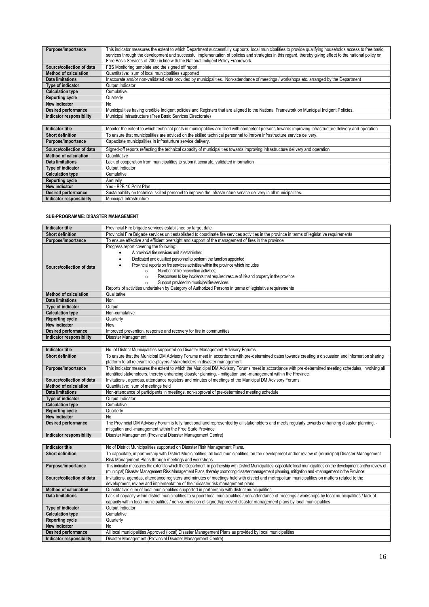| Purpose/importance           | This indicator measures the extent to which Department successfully supports local municipalities to provide qualifying households access to free basic<br>services through the development and successful implementation of policies and strategies in this regard, thereby giving effect to the national policy on<br>Free Basic Services of 2000 in line with the National Indigent Policy Framework. |
|------------------------------|----------------------------------------------------------------------------------------------------------------------------------------------------------------------------------------------------------------------------------------------------------------------------------------------------------------------------------------------------------------------------------------------------------|
| Source/collection of data    | FBS Monitoring template and the signed off report.                                                                                                                                                                                                                                                                                                                                                       |
| <b>Method of calculation</b> | Quantitative: sum of local municipalities supported                                                                                                                                                                                                                                                                                                                                                      |
| Data limitations             | Inaccurate and/or non-validated data provided by municipalities. Non-attendance of meetings / workshops etc. arranged by the Department                                                                                                                                                                                                                                                                  |
| Type of indicator            | Output Indicator                                                                                                                                                                                                                                                                                                                                                                                         |
| <b>Calculation type</b>      | Cumulative                                                                                                                                                                                                                                                                                                                                                                                               |
| <b>Reporting cycle</b>       | Quarterly                                                                                                                                                                                                                                                                                                                                                                                                |
| New indicator                | No                                                                                                                                                                                                                                                                                                                                                                                                       |
| Desired performance          | Municipalities having credible Indigent policies and Registers that are aligned to the National Framework on Municipal Indigent Policies.                                                                                                                                                                                                                                                                |
| Indicator responsibility     | Municipal Infrastructure (Free Basic Services Directorate)                                                                                                                                                                                                                                                                                                                                               |
|                              |                                                                                                                                                                                                                                                                                                                                                                                                          |
|                              | .<br><br>.                                                                                                                                                                                                                                                                                                                                                                                               |

| Indicator title              | Monitor the extent to which technical posts in municipalities are filled with competent persons towards improving infrastructure delivery and operation |
|------------------------------|---------------------------------------------------------------------------------------------------------------------------------------------------------|
| <b>Short definition</b>      | To ensure that municipalities are adviced on the skilled technical personnel to imrove infrastructure service delivery.                                 |
| Purpose/importance           | Capacitate municipalities in infrasturture service delivery.                                                                                            |
| Source/collection of data    | Signed-off reports reflecting the technical capacity of municipalities towards improving infrastructure delivery and operation                          |
| <b>Method of calculation</b> | Quantitative                                                                                                                                            |
| Data limitations             | Lack of cooperation from municipalities to subm'it accurate, validated information                                                                      |
| Type of indicator            | Output Indicator                                                                                                                                        |
| <b>Calculation type</b>      | Cumulative                                                                                                                                              |
| <b>Reporting cycle</b>       | Annually                                                                                                                                                |
| New indicator                | Yes - B2B 10 Point Plan                                                                                                                                 |
| Desired performance          | Sustainability on technical skilled personel to improve the infrastructure service delivery in all municipalities.                                      |
| Indicator responsibility     | Municipal Infrastructure                                                                                                                                |

## **SUB-PROGRAMME: DISASTER MANAGEMENT**

| Indicator title              | Provincial Fire brigade services established by target date                                                                                                                                                                                                                                                                                                                                                                                                                                                                                                                        |
|------------------------------|------------------------------------------------------------------------------------------------------------------------------------------------------------------------------------------------------------------------------------------------------------------------------------------------------------------------------------------------------------------------------------------------------------------------------------------------------------------------------------------------------------------------------------------------------------------------------------|
| <b>Short definition</b>      | Provincial Fire Brigade services unit established to coordinate fire services activities in the province in terms of legislative requirements                                                                                                                                                                                                                                                                                                                                                                                                                                      |
| Purpose/importance           | To ensure effective and efficient oversight and support of the management of fires in the province                                                                                                                                                                                                                                                                                                                                                                                                                                                                                 |
| Source/collection of data    | Progress report covering the following:<br>A provincial fire services unit is established<br>Dedicated and qualified personnel to perform the function appointed<br>Provincial reports on fire services activities within the province which includes<br>Number of fire prevention activities;<br>$\circ$<br>Responses to key incidents that required rescue of life and property in the province<br>$\circ$<br>Support provided to municipal fire services.<br>$\circ$<br>Reports of activities undertaken by Category of Authorized Persons in terms of legislative requirements |
| <b>Method of calculation</b> | Qualitative                                                                                                                                                                                                                                                                                                                                                                                                                                                                                                                                                                        |
| <b>Data limitations</b>      | Non                                                                                                                                                                                                                                                                                                                                                                                                                                                                                                                                                                                |
| Type of indicator            | Output                                                                                                                                                                                                                                                                                                                                                                                                                                                                                                                                                                             |
| <b>Calculation type</b>      | Non-cumulative                                                                                                                                                                                                                                                                                                                                                                                                                                                                                                                                                                     |
| <b>Reporting cycle</b>       | Quarterly                                                                                                                                                                                                                                                                                                                                                                                                                                                                                                                                                                          |
| New indicator                | New                                                                                                                                                                                                                                                                                                                                                                                                                                                                                                                                                                                |
| Desired performance          | Improved prevention, response and recovery for fire in communities                                                                                                                                                                                                                                                                                                                                                                                                                                                                                                                 |
| Indicator responsibility     | Disaster Management                                                                                                                                                                                                                                                                                                                                                                                                                                                                                                                                                                |
|                              |                                                                                                                                                                                                                                                                                                                                                                                                                                                                                                                                                                                    |
| Indicator title              | No. of District Municipalities supported on Disaster Management Advisory Forums                                                                                                                                                                                                                                                                                                                                                                                                                                                                                                    |
| <b>Chart definition</b>      | To opeuro that the Municipal DM Advisory Forume meet in accordance with are determined dates towards eregting a discussion and information sharing                                                                                                                                                                                                                                                                                                                                                                                                                                 |

| <b>Short definition</b>      | To ensure that the Municipal DM Advisory Forums meet in accordance with pre-determined dates towards creating a discussion and information sharing   |
|------------------------------|------------------------------------------------------------------------------------------------------------------------------------------------------|
|                              | platform to all relevant role-players / stakeholders in disaster management                                                                          |
| Purpose/importance           | This indicator measures the extent to which the Municipal DM Advisory Forums meet in accordance with pre-determined meeting schedules, involving all |
|                              | identified stakeholders, thereby enhancing disaster planning, - mitigation and -management within the Province                                       |
| Source/collection of data    | Invitations, agendas, attendance registers and minutes of meetings of the Municipal DM Advisory Forums                                               |
| <b>Method of calculation</b> | Quantitative: sum of meetings held                                                                                                                   |
| Data limitations             | Non-attendance of participants in meetings, non-approval of pre-determined meeting schedule                                                          |
| Type of indicator            | Output Indicator                                                                                                                                     |
| <b>Calculation type</b>      | Cumulative                                                                                                                                           |
| <b>Reporting cycle</b>       | Quarterly                                                                                                                                            |
| New indicator                | No                                                                                                                                                   |
| Desired performance          | The Provincial DM Advisory Forum is fully functional and represented by all stakeholders and meets regularly towards enhancing disaster planning, -  |
|                              | mitigation and -management within the Free State Province                                                                                            |
| Indicator responsibility     | Disaster Management (Provincial Disaster Management Centre)                                                                                          |

| Indicator title              | No of District Municipalities supported on Disaster Risk Management Plans.                                                                                                   |
|------------------------------|------------------------------------------------------------------------------------------------------------------------------------------------------------------------------|
| <b>Short definition</b>      | To capacitate, in partnership with District Municipalities, all local municipalities on the development and/or review of (municipal) Disaster Management                     |
|                              | Risk Management Plans through meetings and workshops                                                                                                                         |
| Purpose/importance           | This indicator measures the extent to which the Department, in partnership with District Municipalities, capacitate local municipalities on the development and/or review of |
|                              | (municipal) Disaster Management Risk Management Plans, thereby promoting disaster management planning, mitigation and -management in the Province                            |
| Source/collection of data    | Invitations, agendas, attendance registers and minutes of meetings held with district and metropolitan municipalities on matters related to the                              |
|                              | development, review and implementation of their disaster risk management plans                                                                                               |
| <b>Method of calculation</b> | Quantitative: sum of local municipalities supported in partnership with district municipalities                                                                              |
| Data limitations             | Lack of capacity within district municipalities to support local municipalities / non-attendance of meetings / workshops by local municipalities / lack of                   |
|                              | capacity within local municipalities / non-submission of signed/approved disaster management plans by local municipalities                                                   |
| Type of indicator            | Output Indicator                                                                                                                                                             |
| <b>Calculation type</b>      | Cumulative                                                                                                                                                                   |
| <b>Reporting cycle</b>       | Quarterly                                                                                                                                                                    |
| New indicator                | No                                                                                                                                                                           |
| Desired performance          | All local municipalities Approved (local) Disaster Management Plans as provided by local municipalities                                                                      |
| Indicator responsibility     | Disaster Management (Provincial Disaster Management Centre)                                                                                                                  |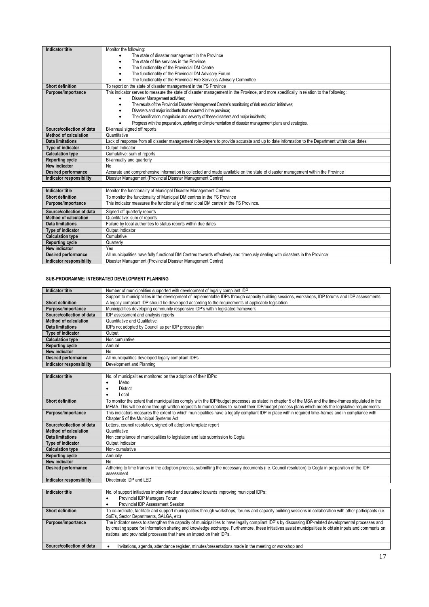| <b>Indicator title</b>       | Monitor the following:                                                                                                                       |
|------------------------------|----------------------------------------------------------------------------------------------------------------------------------------------|
|                              | The state of disaster management in the Province                                                                                             |
|                              | The state of fire services in the Province<br>٠                                                                                              |
|                              | The functionality of the Provincial DM Centre                                                                                                |
|                              | The functionality of the Provincial DM Advisory Forum                                                                                        |
|                              | The functionality of the Provincial Fire Services Advisory Committee                                                                         |
| <b>Short definition</b>      | To report on the state of disaster management in the FS Province                                                                             |
| Purpose/importance           | This indicator serves to measure the state of disaster management in the Province, and more specifically in relation to the following:       |
|                              | Disaster Management activities;                                                                                                              |
|                              | The results of the Provincial Disaster Management Centre's monitoring of risk reduction initiatives;<br>٠                                    |
|                              | Disasters and major incidents that occurred in the province;<br>٠                                                                            |
|                              | The classification, magnitude and severity of these disasters and major incidents;                                                           |
|                              | Progress with the preparation, updating and implementation of disaster management plans and strategies.                                      |
| Source/collection of data    | Bi-annual signed off reports.                                                                                                                |
| <b>Method of calculation</b> | Quantitative                                                                                                                                 |
| <b>Data limitations</b>      | Lack of response from all disaster management role-players to provide accurate and up to date information to the Department within due dates |
| Type of indicator            | Output Indicator                                                                                                                             |
| <b>Calculation type</b>      | Cumulative: sum of reports                                                                                                                   |
| <b>Reporting cycle</b>       | Bi-annually and quarterly                                                                                                                    |
| <b>New indicator</b>         | No                                                                                                                                           |
| <b>Desired performance</b>   | Accurate and comprehensive information is collected and made available on the state of disaster management within the Province               |
| Indicator responsibility     | Disaster Management (Provincial Disaster Management Centre)                                                                                  |
|                              |                                                                                                                                              |
| Indicator title              | Monitor the functionality of Municipal Disaster Management Centres                                                                           |

| Indicator title            | Monitor the functionality of Municipal Disaster Management Centres                                                           |
|----------------------------|------------------------------------------------------------------------------------------------------------------------------|
| <b>Short definition</b>    | To monitor the functionality of Municipal DM centres in the FS Province                                                      |
| Purpose/importance         | This indicator measures the functionality of municipal DM centre in the FS Province.                                         |
| Source/collection of data  | Signed off quarterly reports                                                                                                 |
| Method of calculation      | Quantitative: sum of reports                                                                                                 |
| Data limitations           | Failure by local authorities to status reports within due dates                                                              |
| Type of indicator          | Output Indicator                                                                                                             |
| <b>Calculation type</b>    | Cumulative                                                                                                                   |
| <b>Reporting cycle</b>     | Quarterly                                                                                                                    |
| New indicator              | Yes                                                                                                                          |
| <b>Desired performance</b> | All municipalities have fully functional DM Centres towards effectively and timeously dealing with disasters in the Province |
| Indicator responsibility   | Disaster Management (Provincial Disaster Management Centre)                                                                  |

# **SUB-PROGRAMME: INTEGRATED DEVELOPMENT PLANNING**

| Indicator title              | Number of municipalities supported with development of legally compliant IDP                                                                      |
|------------------------------|---------------------------------------------------------------------------------------------------------------------------------------------------|
|                              | Support to municipalities in the development of implementable IDPs through capacity building sessions, workshops, IDP forums and IDP assessments. |
| <b>Short definition</b>      | A legally compliant IDP should be developed according to the requirements of applicable legislation                                               |
| Purpose/importance           | Municipalities developing community responsive IDP's within legislated framework                                                                  |
| Source/collection of data    | IDP assessment and analysis reports                                                                                                               |
| <b>Method of calculation</b> | <b>Quantitative and Qualitative</b>                                                                                                               |
| Data limitations             | IDPs not adopted by Council as per IDP process plan                                                                                               |
| Type of indicator            | Output                                                                                                                                            |
| <b>Calculation type</b>      | Non cumulative                                                                                                                                    |
| <b>Reporting cycle</b>       | Annual                                                                                                                                            |
| New indicator                | No                                                                                                                                                |
| <b>Desired performance</b>   | All municipalities developed legally compliant IDPs                                                                                               |
| Indicator responsibility     | Development and Planning                                                                                                                          |

| <b>Indicator title</b>       | No. of municipalities monitored on the adoption of their IDPs:                                                                                         |
|------------------------------|--------------------------------------------------------------------------------------------------------------------------------------------------------|
|                              | Metro                                                                                                                                                  |
|                              | District                                                                                                                                               |
|                              | Local                                                                                                                                                  |
| <b>Short definition</b>      | To monitor the extent that municipalities comply with the IDP/budget processes as stated in chapter 5 of the MSA and the time-frames stipulated in the |
|                              | MFMA. This will be done through written requests to municipalities to submit their IDP/budget process plans which meets the legislative requirements   |
| Purpose/importance           | This indicators measures the extent to which municipalities have a legally compliant IDP in place within required time-frames and in compliance with   |
|                              | Chapter 5 of the Municipal Systems Act                                                                                                                 |
| Source/collection of data    | Letters, council resolution, signed off adoption template report                                                                                       |
| <b>Method of calculation</b> | Quantitative                                                                                                                                           |
| Data limitations             | Non compliance of municipalities to legislation and late submission to Cogta                                                                           |
| <b>Type of indicator</b>     | Output Indicator                                                                                                                                       |
| <b>Calculation type</b>      | Non-cumulative                                                                                                                                         |
| <b>Reporting cycle</b>       | Annually                                                                                                                                               |
| New indicator                | No                                                                                                                                                     |
| Desired performance          | Adhering to time frames in the adoption process, submitting the necessary documents (i.e. Council resolution) to Cogta in preparation of the IDP       |
|                              | assessment                                                                                                                                             |
| Indicator responsibility     | Directorate IDP and LED                                                                                                                                |

| Indicator title           | No. of support initiatives implemented and sustained towards improving municipal IDPs:                                                                                                                                                                                                                                                                                                    |
|---------------------------|-------------------------------------------------------------------------------------------------------------------------------------------------------------------------------------------------------------------------------------------------------------------------------------------------------------------------------------------------------------------------------------------|
|                           | Provincial IDP Managers Forum                                                                                                                                                                                                                                                                                                                                                             |
|                           | Provincial IDP Assessment Session                                                                                                                                                                                                                                                                                                                                                         |
| <b>Short definition</b>   | To co-ordinate, facilitate and support municipalities through workshops, forums and capacity building sessions in collaboration with other participants (i.e.                                                                                                                                                                                                                             |
|                           | SoE's. Sector Departments. SALGA. etc)                                                                                                                                                                                                                                                                                                                                                    |
| Purpose/importance        | The indicator seeks to strengthen the capacity of municipalities to have legally compliant IDP's by discussing IDP-related developmental processes and<br>by creating space for information sharing and knowledge exchange. Furthermore, these initiatives assist municipalities to obtain inputs and comments on<br>national and provincial processes that have an impact on their IDPs. |
| Source/collection of data | Invitations, agenda, attendance register, minutes/presentations made in the meeting or workshop and                                                                                                                                                                                                                                                                                       |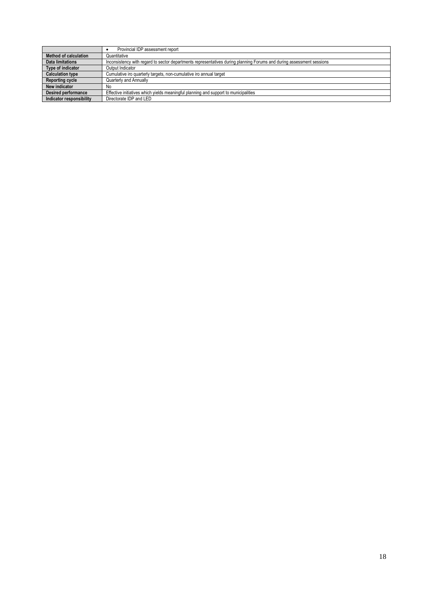|                              | Provincial IDP assessment report                                                                                      |
|------------------------------|-----------------------------------------------------------------------------------------------------------------------|
| <b>Method of calculation</b> | Quantitative                                                                                                          |
| Data limitations             | Inconsistency with regard to sector departments representatives during planning Forums and during assessment sessions |
| Type of indicator            | Output Indicator                                                                                                      |
| <b>Calculation type</b>      | Cumulative iro quarterly targets, non-cumulative iro annual target                                                    |
| <b>Reporting cycle</b>       | Quarterly and Annually                                                                                                |
| New indicator                | No                                                                                                                    |
| <b>Desired performance</b>   | Effective initiatives which yields meaningful planning and support to municipalities                                  |
| Indicator responsibility     | Directorate IDP and LED                                                                                               |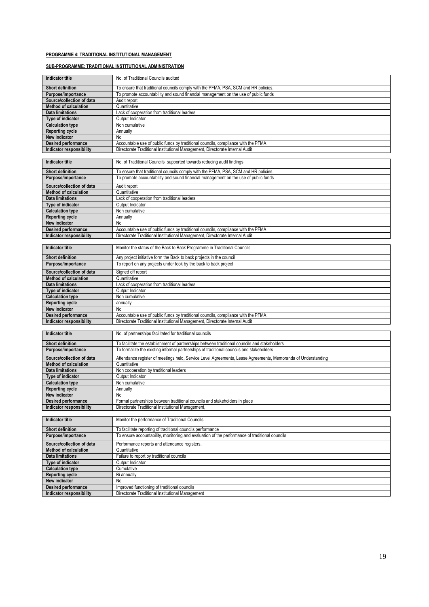## **PROGRAMME 4: TRADITIONAL INSTITUTIONAL MANAGEMENT**

# **SUB-PROGRAMME: TRADITIONAL INSTITUTIONAL ADMINISTRATION**

| <b>Indicator title</b>                        | No. of Traditional Councils audited                                                                            |
|-----------------------------------------------|----------------------------------------------------------------------------------------------------------------|
| <b>Short definition</b>                       | To ensure that traditional councils comply with the PFMA, PSA, SCM and HR policies.                            |
| Purpose/importance                            | To promote accountability and sound financial management on the use of public funds                            |
| Source/collection of data                     | Audit report                                                                                                   |
| <b>Method of calculation</b>                  | Quantitative                                                                                                   |
| <b>Data limitations</b>                       | Lack of cooperation from traditional leaders                                                                   |
| <b>Type of indicator</b>                      | Output Indicator                                                                                               |
| <b>Calculation type</b>                       | Non cumulative                                                                                                 |
| <b>Reporting cycle</b>                        | Annually                                                                                                       |
| New indicator                                 | No                                                                                                             |
| Desired performance                           | Accountable use of public funds by traditional councils, compliance with the PFMA                              |
| Indicator responsibility                      | Directorate Traditional Institutional Management, Directorate Internal Audit                                   |
| <b>Indicator title</b>                        | No. of Traditional Councils supported towards reducing audit findings                                          |
| <b>Short definition</b>                       | To ensure that traditional councils comply with the PFMA, PSA, SCM and HR policies.                            |
| Purpose/importance                            | To promote accountability and sound financial management on the use of public funds                            |
| Source/collection of data                     | Audit report                                                                                                   |
| <b>Method of calculation</b>                  | Quantitative                                                                                                   |
| <b>Data limitations</b>                       | Lack of cooperation from traditional leaders                                                                   |
| Type of indicator                             | Output Indicator                                                                                               |
| <b>Calculation type</b>                       | Non cumulative                                                                                                 |
| <b>Reporting cycle</b>                        | Annually                                                                                                       |
| New indicator                                 | No                                                                                                             |
| Desired performance                           | Accountable use of public funds by traditional councils, compliance with the PFMA                              |
| Indicator responsibility                      | Directorate Traditional Institutional Management, Directorate Internal Audit                                   |
|                                               |                                                                                                                |
| <b>Indicator title</b>                        | Monitor the status of the Back to Back Programme in Traditional Councils                                       |
| <b>Short definition</b>                       | Any project initiative form the Back to back projects in the council                                           |
| Purpose/importance                            | To report on any projects under took by the back to back project                                               |
| Source/collection of data                     |                                                                                                                |
| <b>Method of calculation</b>                  | Signed off report<br>Quantitative                                                                              |
| <b>Data limitations</b>                       | Lack of cooperation from traditional leaders                                                                   |
| Type of indicator                             | Output Indicator                                                                                               |
| <b>Calculation type</b>                       | Non cumulative                                                                                                 |
| <b>Reporting cycle</b>                        | annually                                                                                                       |
| New indicator                                 | No                                                                                                             |
| <b>Desired performance</b>                    | Accountable use of public funds by traditional councils, compliance with the PFMA                              |
| Indicator responsibility                      | Directorate Traditional Institutional Management, Directorate Internal Audit                                   |
|                                               |                                                                                                                |
| <b>Indicator title</b>                        | No. of partnerships facilitated for traditional councils                                                       |
| <b>Short definition</b>                       | To facilitate the establishment of partnerships between traditional councils and stakeholders                  |
| Purpose/importance                            | To formalize the existing informal partnerships of traditional councils and stakeholders                       |
|                                               |                                                                                                                |
| Source/collection of data                     | Attendance register of meetings held, Service Level Agreements, Lease Agreements, Memoranda of Understanding   |
| <b>Method of calculation</b>                  | Quantitative                                                                                                   |
| <b>Data limitations</b><br>Type of indicator  | Non cooperation by traditional leaders<br>Output Indicator                                                     |
| <b>Calculation type</b>                       | Non cumulative                                                                                                 |
| <b>Reporting cycle</b>                        | Annually                                                                                                       |
| New indicator                                 | No                                                                                                             |
| <b>Desired performance</b>                    | Formal partnerships between traditional councils and stakeholders in place                                     |
| Indicator responsibility                      | Directorate Traditional Institutional Management.                                                              |
|                                               |                                                                                                                |
| <b>Indicator title</b>                        | Monitor the performance of Traditional Councils<br>To facilitate reporting of traditional councils performance |
| <b>Short definition</b><br>Purpose/importance | To ensure accountability, monitoring and evaluation of the performance of traditional councils                 |
|                                               |                                                                                                                |
| Source/collection of data                     | Performance reports and attendance registers.                                                                  |
| <b>Method of calculation</b>                  | Quantitative                                                                                                   |
| <b>Data limitations</b>                       | Failure to report by traditional councils                                                                      |
| Type of indicator                             | Output Indicator                                                                                               |
| <b>Calculation type</b>                       | Cumulative<br>Bi annually                                                                                      |
| <b>Reporting cycle</b><br>New indicator       | No                                                                                                             |
| Desired performance                           | Improved functioning of traditional councils                                                                   |
| Indicator responsibility                      | Directorate Traditional Institutional Management                                                               |
|                                               |                                                                                                                |